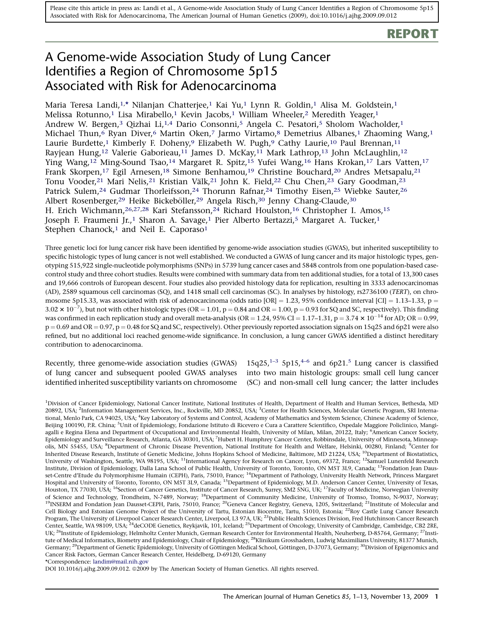### REPORT

## A Genome-wide Association Study of Lung Cancer Identifies a Region of Chromosome 5p15 Associated with Risk for Adenocarcinoma

Maria Teresa Landi,1, \* Nilanjan Chatterjee,1 Kai Yu,1 Lynn R. Goldin,1 Alisa M. Goldstein,1 Melissa Rotunno,<sup>1</sup> Lisa Mirabello,<sup>1</sup> Kevin Jacobs,<sup>1</sup> William Wheeler,<sup>2</sup> Meredith Yeager,<sup>1</sup> Andrew W. Bergen,<sup>3</sup> Qizhai Li,<sup>1,4</sup> Dario Consonni,<sup>5</sup> Angela C. Pesatori,<sup>5</sup> Sholom Wacholder,<sup>1</sup> Michael Thun,<sup>6</sup> Ryan Diver,<sup>6</sup> Martin Oken,<sup>7</sup> Jarmo Virtamo,<sup>8</sup> Demetrius Albanes,<sup>1</sup> Zhaoming Wang,<sup>1</sup> Laurie Burdette,<sup>1</sup> Kimberly F. Doheny,<sup>9</sup> Elizabeth W. Pugh,<sup>9</sup> Cathy Laurie,<sup>10</sup> Paul Brennan,<sup>11</sup> Rayjean Hung,<sup>12</sup> Valerie Gaborieau,<sup>11</sup> James D. McKay,<sup>11</sup> Mark Lathrop,<sup>13</sup> John McLaughlin,<sup>12</sup> Ying Wang,12 Ming-Sound Tsao,14 Margaret R. Spitz,15 Yufei Wang,16 Hans Krokan,17 Lars Vatten,17 Frank Skorpen,<sup>17</sup> Egil Arnesen,<sup>18</sup> Simone Benhamou,<sup>19</sup> Christine Bouchard,<sup>20</sup> Andres Metsapalu,<sup>21</sup> Tonu Vooder,<sup>21</sup> Mari Nelis,<sup>21</sup> Kristian Välk,<sup>21</sup> John K. Field,<sup>22</sup> Chu Chen,<sup>23</sup> Gary Goodman,<sup>23</sup> Patrick Sulem,<sup>24</sup> Gudmar Thorleifsson,<sup>24</sup> Thorunn Rafnar,<sup>24</sup> Timothy Eisen,<sup>25</sup> Wiebke Sauter,<sup>26</sup> Albert Rosenberger,<sup>29</sup> Heike Bickeböller,<sup>29</sup> Angela Risch,<sup>30</sup> Jenny Chang-Claude,<sup>30</sup> H. Erich Wichmann,26,27,28 Kari Stefansson,24 Richard Houlston,16 Christopher I. Amos,15 Joseph F. Fraumeni Jr.,1 Sharon A. Savage,1 Pier Alberto Bertazzi,5 Margaret A. Tucker,1 Stephen Chanock, $1$  and Neil E. Caporaso $1$ 

Three genetic loci for lung cancer risk have been identified by genome-wide association studies (GWAS), but inherited susceptibility to specific histologic types of lung cancer is not well established. We conducted a GWAS of lung cancer and its major histologic types, genotyping 515,922 single-nucleotide polymorphisms (SNPs) in 5739 lung cancer cases and 5848 controls from one population-based casecontrol study and three cohort studies. Results were combined with summary data from ten additional studies, for a total of 13,300 cases and 19,666 controls of European descent. Four studies also provided histology data for replication, resulting in 3333 adenocarcinomas (AD), 2589 squamous cell carcinomas (SQ), and 1418 small cell carcinomas (SC). In analyses by histology, rs2736100 (TERT), on chromosome 5p15.33, was associated with risk of adenocarcinoma (odds ratio  $[OR] = 1.23$ , 95% confidence interval  $[CI] = 1.13-1.33$ , p =  $3.02 \times 10^{-7}$ ), but not with other histologic types (OR = 1.01, p = 0.84 and OR = 1.00, p = 0.93 for SQ and SC, respectively). This finding was confirmed in each replication study and overall meta-analysis (OR = 1.24, 95% CI = 1.17–1.31, p = 3.74  $\times$  10<sup>–14</sup> for AD; OR = 0.99,  $p = 0.69$  and OR = 0.97,  $p = 0.48$  for SQ and SC, respectively). Other previously reported association signals on 15q25 and 6p21 were also refined, but no additional loci reached genome-wide significance. In conclusion, a lung cancer GWAS identified a distinct hereditary contribution to adenocarcinoma.

Recently, three genome-wide association studies (GWAS) of lung cancer and subsequent pooled GWAS analyses identified inherited susceptibility variants on chromosome  $15q25$  $15q25$  $15q25$ ,<sup>[1–3](#page-11-0)</sup> 5p15,<sup>[4–6](#page-11-0)</sup> and 6p21.<sup>5</sup> Lung cancer is classified into two main histologic groups: small cell lung cancer (SC) and non-small cell lung cancer; the latter includes

DOI 10.1016/j.ajhg.2009.09.012. @2009 by The American Society of Human Genetics. All rights reserved.

<sup>&</sup>lt;sup>1</sup>Division of Cancer Epidemiology, National Cancer Institute, National Institutes of Health, Department of Health and Human Services, Bethesda, MD 20892, USA; <sup>2</sup>Information Management Services, Inc., Rockville, MD 20852, USA; <sup>3</sup>Center for Health Sciences, Molecular Genetic Program, SRI International, Menlo Park, CA 94025, USA; <sup>4</sup>Key Laboratory of Systems and Control, Academy of Mathematics and System Science, Chinese Academy of Science, Beijing 100190, P.R. China; <sup>5</sup>Unit of Epidemiology, Fondazione Istituto di Ricevero e Cura a Carattere Scientifico, Ospedale Maggiore Policlinico, Mangiagalli e Regina Elena and Department of Occupational and Environmental Health, University of Milan, Milan, 20122, Italy; <sup>6</sup>American Cancer Society, Epidemiology and Surveillance Research, Atlanta, GA 30301, USA; <sup>7</sup>Hubert H. Humphrey Cancer Center, Robbinsdale, University of Minnesota, Minneapolis, MN 55455, USA; <sup>8</sup>Department of Chronic Disease Prevention, National Institute for Health and Welfare, Helsinki, 00280, Finland; <sup>9</sup>Center for Inherited Disease Research, Institute of Genetic Medicine, Johns Hopkins School of Medicine, Baltimore, MD 21224, USA; 10Department of Biostatistics, University of Washington, Seattle, WA 98195, USA; <sup>11</sup>International Agency for Research on Cancer, Lyon, 69372, France; <sup>12</sup>Samuel Lunenfeld Research Institute, Division of Epidemiology, Dalla Lana School of Public Health, University of Toronto, Toronto, ON M5T 3L9, Canada; <sup>13</sup>Fondation Jean Dausset-Centre d'Etude du Polymorphisme Humain (CEPH), Paris, 75010, France; <sup>14</sup>Department of Pathology, University Health Network, Princess Margaret Hospital and University of Toronto, Toronto, ON M5T 3L9, Canada; <sup>15</sup>Department of Epidemiology, M.D. Anderson Cancer Center, University of Texas, Houston, TX 77030, USA; <sup>16</sup>Section of Cancer Genetics, Institute of Cancer Research, Surrey, SM2 5NG, UK; <sup>17</sup>Faculty of Medicine, Norwegian University of Science and Technology, Trondheim, N-7489, Norway; <sup>18</sup>Department of Community Medicine, University of Tromso, Tromso, N-9037, Norway; <sup>19</sup>INSERM and Fondation Jean Dausset-CEPH, Paris, 75010, France; <sup>20</sup>Geneva Cancer Registry, Geneva, 1205, Switzerland; <sup>21</sup>Institute of Molecular and Cell Biology and Estonian Genome Project of the University of Tartu, Estonian Biocentre, Tartu, 51010, Estonia; <sup>22</sup>Roy Castle Lung Cancer Research Program, The University of Liverpool Cancer Research Center, Liverpool, L3 97A, UK; <sup>23</sup>Public Health Sciences Division, Fred Hutchinson Cancer Research Center, Seattle, WA 98109, USA; 24deCODE Genetics, Reykjavik, 101, Iceland; 25Department of Oncology, University of Cambridge, Cambridge, CB2 2RE, UK; <sup>26</sup>Institute of Epidemiology, Helmholtz Center Munich, German Research Center for Environmental Health, Neuherberg, D-85764, Germany; <sup>27</sup>Institute of Medical Informatics, Biometry and Epidemiology, Chair of Epidemiology, <sup>28</sup>Klinikum Grosshadern, Ludwig Maximilians University, 81377 Munich, Germany; <sup>29</sup>Department of Genetic Epidemiology, University of Göttingen Medical School, Göttingen, D-37073, Germany; <sup>30</sup>Division of Epigenomics and Cancer Risk Factors, German Cancer Research Center, Heidelberg, D-69120, Germany \*Correspondence: [landim@mail.nih.gov](mailto:landim@mail.nih.gov)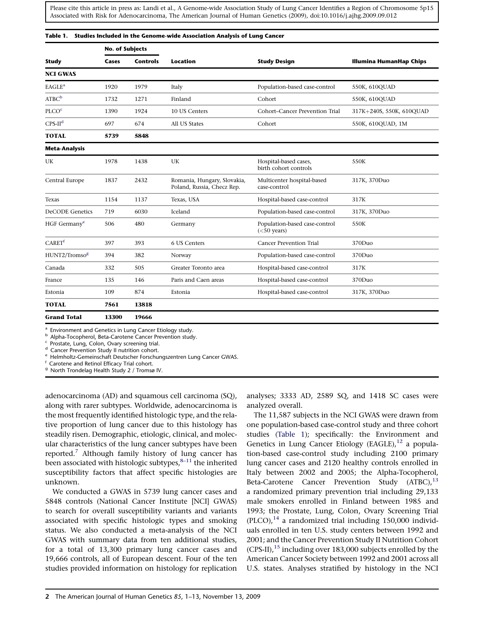<span id="page-1-0"></span>

|                           | <b>No. of Subjects</b> |                 |                                                           |                                                 |                                |
|---------------------------|------------------------|-----------------|-----------------------------------------------------------|-------------------------------------------------|--------------------------------|
| <b>Study</b>              | Cases                  | <b>Controls</b> | <b>Location</b>                                           | <b>Study Design</b>                             | <b>Illumina HumanHap Chips</b> |
| <b>NCI GWAS</b>           |                        |                 |                                                           |                                                 |                                |
| <b>EAGLE<sup>a</sup></b>  | 1920                   | 1979            | Italy                                                     | Population-based case-control                   | 550K, 610QUAD                  |
| ATBC <sup>b</sup>         | 1732                   | 1271            | Finland                                                   | Cohort                                          | 550K, 610QUAD                  |
| PLCO <sup>c</sup>         | 1390                   | 1924            | 10 US Centers                                             | Cohort-Cancer Prevention Trial                  | 317K+240S, 550K, 610QUAD       |
| $CPS-IId$                 | 697                    | 674             | All US States                                             | Cohort                                          | 550K, 610QUAD, 1M              |
| <b>TOTAL</b>              | 5739                   | 5848            |                                                           |                                                 |                                |
| <b>Meta-Analysis</b>      |                        |                 |                                                           |                                                 |                                |
| UK                        | 1978                   | 1438            | UK                                                        | Hospital-based cases,<br>birth cohort controls  | 550K                           |
| Central Europe            | 1837                   | 2432            | Romania, Hungary, Slovakia,<br>Poland, Russia, Checz Rep. | Multicenter hospital-based<br>case-control      | 317K, 370Duo                   |
| Texas                     | 1154                   | 1137            | Texas, USA                                                | Hospital-based case-control                     | 317K                           |
| <b>DeCODE</b> Genetics    | 719                    | 6030            | Iceland                                                   | Population-based case-control                   | 317K, 370Duo                   |
| HGF Germany <sup>e</sup>  | 506                    | 480             | Germany                                                   | Population-based case-control<br>$(<$ 50 years) | 550K                           |
| CARET <sup>f</sup>        | 397                    | 393             | 6 US Centers                                              | <b>Cancer Prevention Trial</b>                  | 370Duo                         |
| HUNT2/Tromso <sup>g</sup> | 394                    | 382             | Norway                                                    | Population-based case-control                   | 370Duo                         |
| Canada                    | 332                    | 505             | Greater Toronto area                                      | Hospital-based case-control                     | 317K                           |
| France                    | 135                    | 146             | Paris and Caen areas                                      | Hospital-based case-control                     | 370Duo                         |
| Estonia                   | 109                    | 874             | Estonia                                                   | Hospital-based case-control                     | 317K, 370Duo                   |
| <b>TOTAL</b>              | 7561                   | 13818           |                                                           |                                                 |                                |
| <b>Grand Total</b>        | 13300                  | 19666           |                                                           |                                                 |                                |

<sup>a</sup> Environment and Genetics in Lung Cancer Etiology study.<br><sup>b</sup> Alpha-Tocopherol, Beta-Carotene Cancer Prevention study.<br><sup>c</sup> Prostate, Lung, Colon, Ovary screening trial.<br><sup>d</sup> Cancer Prevention Study II nutrition cohort.<br><sup>e</sup>

<sup>g</sup> North Trondelag Health Study 2 / Tromsø IV.

adenocarcinoma (AD) and squamous cell carcinoma (SQ), along with rarer subtypes. Worldwide, adenocarcinoma is the most frequently identified histologic type, and the relative proportion of lung cancer due to this histology has steadily risen. Demographic, etiologic, clinical, and molecular characteristics of the lung cancer subtypes have been reported.[7](#page-11-0) Although family history of lung cancer has been associated with histologic subtypes, $8-11$  the inherited susceptibility factors that affect specific histologies are unknown.

We conducted a GWAS in 5739 lung cancer cases and 5848 controls (National Cancer Institute [NCI] GWAS) to search for overall susceptibility variants and variants associated with specific histologic types and smoking status. We also conducted a meta-analysis of the NCI GWAS with summary data from ten additional studies, for a total of 13,300 primary lung cancer cases and 19,666 controls, all of European descent. Four of the ten studies provided information on histology for replication

analyses; 3333 AD, 2589 SQ, and 1418 SC cases were analyzed overall.

The 11,587 subjects in the NCI GWAS were drawn from one population-based case-control study and three cohort studies (Table 1); specifically: the Environment and Genetics in Lung Cancer Etiology (EAGLE),<sup>[12](#page-11-0)</sup> a population-based case-control study including 2100 primary lung cancer cases and 2120 healthy controls enrolled in Italy between 2002 and 2005; the Alpha-Tocopherol, Beta-Carotene Cancer Prevention Study (ATBC),<sup>[13](#page-11-0)</sup> a randomized primary prevention trial including 29,133 male smokers enrolled in Finland between 1985 and 1993; the Prostate, Lung, Colon, Ovary Screening Trial  $(PLCO)$ ,<sup>14</sup> a randomized trial including 150,000 individuals enrolled in ten U.S. study centers between 1992 and 2001; and the Cancer Prevention Study II Nutrition Cohort (CPS-II),<sup>[15](#page-11-0)</sup> including over 183,000 subjects enrolled by the American Cancer Society between 1992 and 2001 across all U.S. states. Analyses stratified by histology in the NCI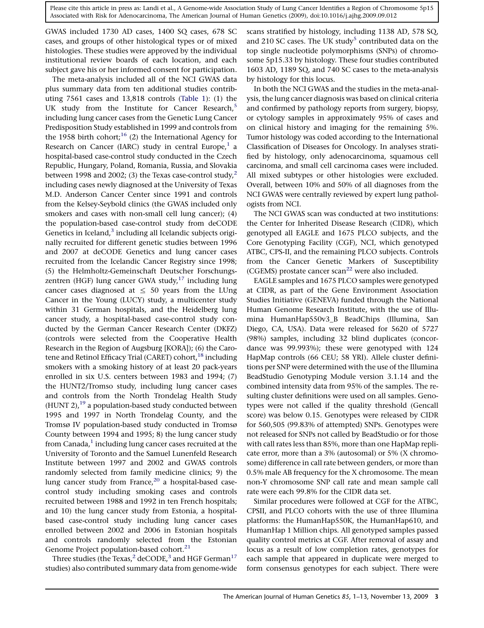GWAS included 1730 AD cases, 1400 SQ cases, 678 SC cases, and groups of other histological types or of mixed histologies. These studies were approved by the individual institutional review boards of each location, and each subject gave his or her informed consent for participation.

The meta-analysis included all of the NCI GWAS data plus summary data from ten additional studies contributing 7561 cases and 13,818 controls ([Table 1\)](#page-1-0): (1) the UK study from the Institute for Cancer Research, $5$ including lung cancer cases from the Genetic Lung Cancer Predisposition Study established in 1999 and controls from the 1958 birth cohort;<sup>[16](#page-11-0)</sup> (2) the International Agency for Research on Cancer (IARC) study in central Europe,<sup>[1](#page-11-0)</sup> a hospital-based case-control study conducted in the Czech Republic, Hungary, Poland, Romania, Russia, and Slovakia between 1998 and [2](#page-11-0)002; (3) the Texas case-control study,<sup>2</sup> including cases newly diagnosed at the University of Texas M.D. Anderson Cancer Center since 1991 and controls from the Kelsey-Seybold clinics (the GWAS included only smokers and cases with non-small cell lung cancer); (4) the population-based case-control study from deCODE Genetics in Iceland, $3$  including all Icelandic subjects originally recruited for different genetic studies between 1996 and 2007 at deCODE Genetics and lung cancer cases recruited from the Icelandic Cancer Registry since 1998; (5) the Helmholtz-Gemeinschaft Deutscher Forschungszentren (HGF) lung cancer GWA study, $17$  including lung cancer cases diagnosed at  $\leq 50$  years from the LUng Cancer in the Young (LUCY) study, a multicenter study within 31 German hospitals, and the Heidelberg lung cancer study, a hospital-based case-control study conducted by the German Cancer Research Center (DKFZ) (controls were selected from the Cooperative Health Research in the Region of Augsburg [KORA]); (6) the Caro-tene and Retinol Efficacy Trial (CARET) cohort,<sup>[18](#page-11-0)</sup> including smokers with a smoking history of at least 20 pack-years enrolled in six U.S. centers between 1983 and 1994; (7) the HUNT2/Tromso study, including lung cancer cases and controls from the North Trondelag Health Study (HUNT 2), $^{19}$  a population-based study conducted between 1995 and 1997 in North Trondelag County, and the Tromsø IV population-based study conducted in Tromsø County between 1994 and 1995; 8) the lung cancer study from Canada, $<sup>1</sup>$  $<sup>1</sup>$  $<sup>1</sup>$  including lung cancer cases recruited at the</sup> University of Toronto and the Samuel Lunenfeld Research Institute between 1997 and 2002 and GWAS controls randomly selected from family medicine clinics; 9) the lung cancer study from France, $20$  a hospital-based casecontrol study including smoking cases and controls recruited between 1988 and 1992 in ten French hospitals; and 10) the lung cancer study from Estonia, a hospitalbased case-control study including lung cancer cases enrolled between 2002 and 2006 in Estonian hospitals and controls randomly selected from the Estonian Genome Project population-based cohort.<sup>[21](#page-11-0)</sup>

Three studies (the Texas,<sup>2</sup> deCODE,<sup>[3](#page-11-0)</sup> and HGF German<sup>[17](#page-11-0)</sup> studies) also contributed summary data from genome-wide scans stratified by histology, including 1138 AD, 578 SQ, and 210 SC cases. The UK study<sup>[5](#page-11-0)</sup> contributed data on the top single nucleotide polymorphisms (SNPs) of chromosome 5p15.33 by histology. These four studies contributed 1603 AD, 1189 SQ, and 740 SC cases to the meta-analysis by histology for this locus.

In both the NCI GWAS and the studies in the meta-analysis, the lung cancer diagnosis was based on clinical criteria and confirmed by pathology reports from surgery, biopsy, or cytology samples in approximately 95% of cases and on clinical history and imaging for the remaining 5%. Tumor histology was coded according to the International Classification of Diseases for Oncology. In analyses stratified by histology, only adenocarcinoma, squamous cell carcinoma, and small cell carcinoma cases were included. All mixed subtypes or other histologies were excluded. Overall, between 10% and 50% of all diagnoses from the NCI GWAS were centrally reviewed by expert lung pathologists from NCI.

The NCI GWAS scan was conducted at two institutions: the Center for Inherited Disease Research (CIDR), which genotyped all EAGLE and 1675 PLCO subjects, and the Core Genotyping Facility (CGF), NCI, which genotyped ATBC, CPS-II, and the remaining PLCO subjects. Controls from the Cancer Genetic Markers of Susceptibility (CGEMS) prostate cancer scan<sup>[22](#page-11-0)</sup> were also included.

EAGLE samples and 1675 PLCO samples were genotyped at CIDR, as part of the Gene Environment Association Studies Initiative (GENEVA) funded through the National Human Genome Research Institute, with the use of Illumina HumanHap550v3\_B BeadChips (Illumina, San Diego, CA, USA). Data were released for 5620 of 5727 (98%) samples, including 32 blind duplicates (concordance was 99.993%); these were genotyped with 124 HapMap controls (66 CEU; 58 YRI). Allele cluster definitions per SNP were determined with the use of the Illumina BeadStudio Genotyping Module version 3.1.14 and the combined intensity data from 95% of the samples. The resulting cluster definitions were used on all samples. Genotypes were not called if the quality threshold (Gencall score) was below 0.15. Genotypes were released by CIDR for 560,505 (99.83% of attempted) SNPs. Genotypes were not released for SNPs not called by BeadStudio or for those with call rates less than 85%, more than one HapMap replicate error, more than a 3% (autosomal) or 5% (X chromosome) difference in call rate between genders, or more than 0.5% male AB frequency for the X chromosome. The mean non-Y chromosome SNP call rate and mean sample call rate were each 99.8% for the CIDR data set.

Similar procedures were followed at CGF for the ATBC, CPSII, and PLCO cohorts with the use of three Illumina platforms: the HumanHap550K, the HumanHap610, and HumanHap 1 Million chips. All genotyped samples passed quality control metrics at CGF. After removal of assay and locus as a result of low completion rates, genotypes for each sample that appeared in duplicate were merged to form consensus genotypes for each subject. There were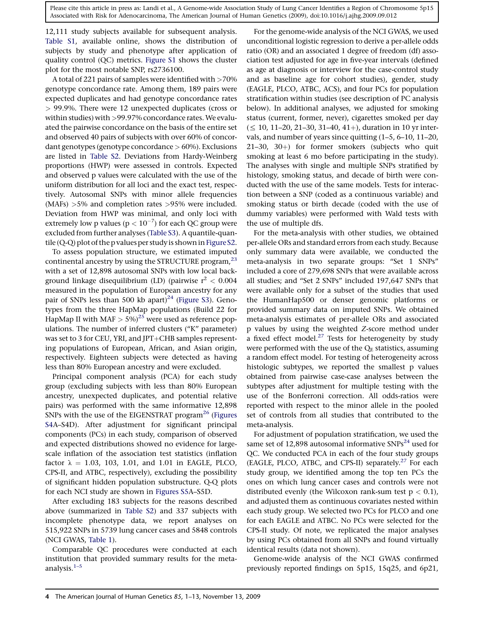12,111 study subjects available for subsequent analysis. Table S1, available online, shows the distribution of subjects by study and phenotype after application of quality control (QC) metrics. Figure S1 shows the cluster plot for the most notable SNP, rs2736100.

A total of 221 pairs of samples were identified with >70% genotype concordance rate. Among them, 189 pairs were expected duplicates and had genotype concordance rates > 99.9%. There were 12 unexpected duplicates (cross or within studies) with >99.97% concordance rates. We evaluated the pairwise concordance on the basis of the entire set and observed 40 pairs of subjects with over 60% of concordant genotypes (genotype concordance  $> 60\%$ ). Exclusions are listed in Table S2. Deviations from Hardy-Weinberg proportions (HWP) were assessed in controls. Expected and observed p values were calculated with the use of the uniform distribution for all loci and the exact test, respectively. Autosomal SNPs with minor allele frequencies (MAFs) >5% and completion rates >95% were included. Deviation from HWP was minimal, and only loci with extremely low p values ( $p < 10^{-7}$ ) for each QC group were excluded from further analyses (Table S3). A quantile-quantile  $(Q-Q)$  plot of the p values per study is shown in Figure S2.

To assess population structure, we estimated imputed continental ancestry by using the STRUCTURE program, $^{23}$  $^{23}$  $^{23}$ with a set of 12,898 autosomal SNPs with low local background linkage disequilibrium (LD) (pairwise  $r^2 < 0.004$ measured in the population of European ancestry for any pair of SNPs less than 500 kb apart)<sup>[24](#page-11-0)</sup> (Figure S3). Genotypes from the three HapMap populations (Build 22 for HapMap II with MAF  $> 5\%)^{25}$  were used as reference populations. The number of inferred clusters (''K'' parameter) was set to 3 for CEU, YRI, and JPT+CHB samples representing populations of European, African, and Asian origin, respectively. Eighteen subjects were detected as having less than 80% European ancestry and were excluded.

Principal component analysis (PCA) for each study group (excluding subjects with less than 80% European ancestry, unexpected duplicates, and potential relative pairs) was performed with the same informative 12,898 SNPs with the use of the EIGENSTRAT program<sup>26</sup> (Figures S4A–S4D). After adjustment for significant principal components (PCs) in each study, comparison of observed and expected distributions showed no evidence for largescale inflation of the association test statistics (inflation factor  $\lambda = 1.03, 103, 1.01,$  and 1.01 in EAGLE, PLCO, CPS-II, and ATBC, respectively), excluding the possibility of significant hidden population substructure. Q-Q plots for each NCI study are shown in Figures S5A–S5D.

After excluding 183 subjects for the reasons described above (summarized in Table S2) and 337 subjects with incomplete phenotype data, we report analyses on 515,922 SNPs in 5739 lung cancer cases and 5848 controls (NCI GWAS, [Table 1\)](#page-1-0).

Comparable QC procedures were conducted at each institution that provided summary results for the metaanalysis.[1–5](#page-11-0)

For the genome-wide analysis of the NCI GWAS, we used unconditional logistic regression to derive a per-allele odds ratio (OR) and an associated 1 degree of freedom (df) association test adjusted for age in five-year intervals (defined as age at diagnosis or interview for the case-control study and as baseline age for cohort studies), gender, study (EAGLE, PLCO, ATBC, ACS), and four PCs for population stratification within studies (see description of PC analysis below). In additional analyses, we adjusted for smoking status (current, former, never), cigarettes smoked per day  $( \leq 10, 11$ –20, 21–30, 31–40, 41+), duration in 10 yr intervals, and number of years since quitting (1–5, 6–10, 11–20,  $21-30$ ,  $30+$ ) for former smokers (subjects who quit smoking at least 6 mo before participating in the study). The analyses with single and multiple SNPs stratified by histology, smoking status, and decade of birth were conducted with the use of the same models. Tests for interaction between a SNP (coded as a continuous variable) and smoking status or birth decade (coded with the use of dummy variables) were performed with Wald tests with the use of multiple dfs.

For the meta-analysis with other studies, we obtained per-allele ORs and standard errors from each study. Because only summary data were available, we conducted the meta-analysis in two separate groups: ''Set 1 SNPs'' included a core of 279,698 SNPs that were available across all studies; and ''Set 2 SNPs'' included 197,647 SNPs that were available only for a subset of the studies that used the HumanHap500 or denser genomic platforms or provided summary data on imputed SNPs. We obtained meta-analysis estimates of per-allele ORs and associated p values by using the weighted Z-score method under a fixed effect model. $27$  Tests for heterogeneity by study were performed with the use of the  $Q_E$  statistics, assuming a random effect model. For testing of heterogeneity across histologic subtypes, we reported the smallest p values obtained from pairwise case-case analyses between the subtypes after adjustment for multiple testing with the use of the Bonferroni correction. All odds-ratios were reported with respect to the minor allele in the pooled set of controls from all studies that contributed to the meta-analysis.

For adjustment of population stratification, we used the same set of 12,898 autosomal informative  $SNPs^{24}$  $SNPs^{24}$  $SNPs^{24}$  used for QC. We conducted PCA in each of the four study groups (EAGLE, PLCO, ATBC, and CPS-II) separately.<sup>[27](#page-12-0)</sup> For each study group, we identified among the top ten PCs the ones on which lung cancer cases and controls were not distributed evenly (the Wilcoxon rank-sum test  $p < 0.1$ ), and adjusted them as continuous covariates nested within each study group. We selected two PCs for PLCO and one for each EAGLE and ATBC. No PCs were selected for the CPS-II study. Of note, we replicated the major analyses by using PCs obtained from all SNPs and found virtually identical results (data not shown).

Genome-wide analysis of the NCI GWAS confirmed previously reported findings on 5p15, 15q25, and 6p21,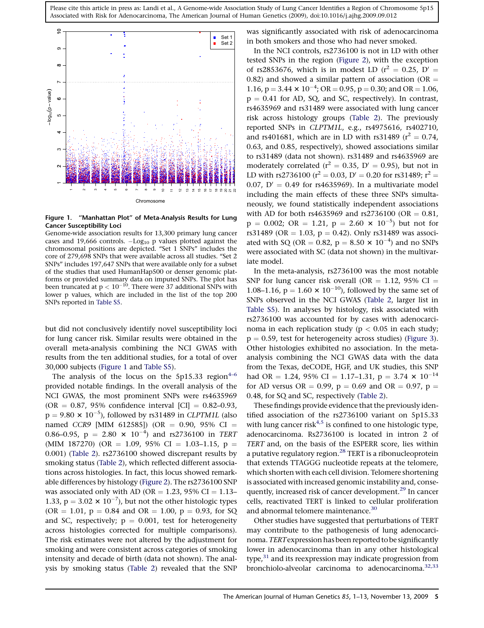

Figure 1. ''Manhattan Plot'' of Meta-Analysis Results for Lung Cancer Susceptibility Loci

Genome-wide association results for 13,300 primary lung cancer cases and 19,666 controls.  $-\text{Log}_{10}$  p values plotted against the chromosomal positions are depicted. ''Set 1 SNPs'' includes the core of 279,698 SNPs that were available across all studies. ''Set 2 SNPs'' includes 197,647 SNPs that were available only for a subset of the studies that used HumanHap500 or denser genomic platforms or provided summary data on imputed SNPs. The plot has been truncated at  $p < 10^{-10}$ . There were 37 additional SNPs with lower p values, which are included in the list of the top 200 SNPs reported in Table S5.

but did not conclusively identify novel susceptibility loci for lung cancer risk. Similar results were obtained in the overall meta-analysis combining the NCI GWAS with results from the ten additional studies, for a total of over 30,000 subjects (Figure 1 and Table S5).

The analysis of the locus on the 5p15.33 region<sup> $4-6$ </sup> provided notable findings. In the overall analysis of the NCI GWAS, the most prominent SNPs were rs4635969 (OR = 0.87, 95% confidence interval [CI] = 0.82–0.93,  $p = 9.80 \times 10^{-5}$ ), followed by rs31489 in *CLPTM1L* (also named CCR9 [MIM 612585]) (OR = 0.90, 95% CI = 0.86–0.95,  $p = 2.80 \times 10^{-4}$  and rs2736100 in TERT (MIM 187270) (OR = 1.09, 95% CI = 1.03–1.15, p = 0.001) [\(Table 2](#page-5-0)). rs2736100 showed discrepant results by smoking status [\(Table 2\)](#page-5-0), which reflected different associations across histologies. In fact, this locus showed remarkable differences by histology ([Figure 2](#page-7-0)). The rs2736100 SNP was associated only with AD (OR = 1.23, 95% CI =  $1.13-$ 1.33,  $p = 3.02 \times 10^{-7}$ ), but not the other histologic types  $(OR = 1.01, p = 0.84$  and  $OR = 1.00, p = 0.93$ , for SQ and SC, respectively;  $p = 0.001$ , test for heterogeneity across histologies corrected for multiple comparisons). The risk estimates were not altered by the adjustment for smoking and were consistent across categories of smoking intensity and decade of birth (data not shown). The analysis by smoking status ([Table 2](#page-5-0)) revealed that the SNP

was significantly associated with risk of adenocarcinoma in both smokers and those who had never smoked.

In the NCI controls, rs2736100 is not in LD with other tested SNPs in the region [\(Figure 2](#page-7-0)), with the exception of rs2853676, which is in modest LD ( $r^2 = 0.25$ , D' = 0.82) and showed a similar pattern of association (OR  $=$ 1.16,  $p = 3.44 \times 10^{-4}$ ; OR = 0.95,  $p = 0.30$ ; and OR = 1.06,  $p = 0.41$  for AD, SQ, and SC, respectively). In contrast, rs4635969 and rs31489 were associated with lung cancer risk across histology groups ([Table 2](#page-5-0)). The previously reported SNPs in CLPTM1L, e.g., rs4975616, rs402710, and rs401681, which are in LD with rs31489 ( $r^2 = 0.74$ , 0.63, and 0.85, respectively), showed associations similar to rs31489 (data not shown). rs31489 and rs4635969 are moderately correlated ( $r^2 = 0.35$ ,  $D' = 0.95$ ), but not in LD with rs2736100 ( $r^2 = 0.03$ , D' = 0.20 for rs31489;  $r^2 =$ 0.07,  $D' = 0.49$  for rs4635969). In a multivariate model including the main effects of these three SNPs simultaneously, we found statistically independent associations with AD for both rs4635969 and rs2736100 (OR =  $0.81$ ,  $p = 0.002$ ; OR = 1.21,  $p = 2.60 \times 10^{-5}$ ) but not for rs31489 (OR = 1.03, p = 0.42). Only rs31489 was associated with SQ (OR = 0.82,  $p = 8.50 \times 10^{-4}$ ) and no SNPs were associated with SC (data not shown) in the multivariate model.

In the meta-analysis, rs2736100 was the most notable SNP for lung cancer risk overall (OR = 1.12, 95% CI = 1.08–1.16,  $p = 1.60 \times 10^{-10}$ , followed by the same set of SNPs observed in the NCI GWAS [\(Table 2,](#page-5-0) larger list in Table S5). In analyses by histology, risk associated with rs2736100 was accounted for by cases with adenocarcinoma in each replication study ( $p < 0.05$  in each study;  $p = 0.59$ , test for heterogeneity across studies) ([Figure 3\)](#page-8-0). Other histologies exhibited no association. In the metaanalysis combining the NCI GWAS data with the data from the Texas, deCODE, HGF, and UK studies, this SNP had OR = 1.24, 95% CI = 1.17–1.31, p = 3.74  $\times$  10<sup>-14</sup> for AD versus OR = 0.99,  $p = 0.69$  and OR = 0.97,  $p =$ 0.48, for SQ and SC, respectively [\(Table 2\)](#page-5-0).

These findings provide evidence that the previously identified association of the rs2736100 variant on 5p15.33 with lung cancer risk<sup> $4,5$ </sup> is confined to one histologic type, adenocarcinoma. Rs2736100 is located in intron 2 of TERT and, on the basis of the ESPERR score, lies within a putative regulatory region.<sup>[28](#page-12-0)</sup> TERT is a ribonucleoprotein that extends TTAGGG nucleotide repeats at the telomere, which shorten with each cell division. Telomere shortening is associated with increased genomic instability and, conse-quently, increased risk of cancer development.<sup>[29](#page-12-0)</sup> In cancer cells, reactivated TERT is linked to cellular proliferation and abnormal telomere maintenance.<sup>[30](#page-12-0)</sup>

Other studies have suggested that perturbations of TERT may contribute to the pathogenesis of lung adenocarcinoma.TERTexpression has been reported to be significantly lower in adenocarcinoma than in any other histological type, $31$  and its reexpression may indicate progression from bronchiolo-alveolar carcinoma to adenocarcinoma.<sup>32,33</sup>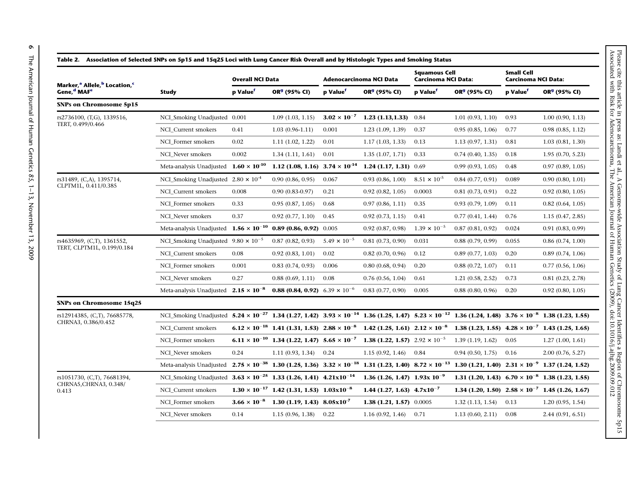<span id="page-5-0"></span>

| Marker, <sup>a</sup> Allele, <sup>b</sup> Location, <sup>c</sup> |                                                                                        | <b>Overall NCI Data</b> |                                                                |                       | <b>Adenocarcinoma NCI Data</b>                                                                                                    | <b>Squamous Cell</b><br><b>Carcinoma NCI Data:</b> |                                                                                                                                                                                                                                                                                                                                                                                                                                                                                                                                                                                                                                                                                                                                                                                                                                                                                                                                                                                                                                                                                                                                                                                                                         | <b>Small Cell</b>    |                                                                                                                                                                                              |
|------------------------------------------------------------------|----------------------------------------------------------------------------------------|-------------------------|----------------------------------------------------------------|-----------------------|-----------------------------------------------------------------------------------------------------------------------------------|----------------------------------------------------|-------------------------------------------------------------------------------------------------------------------------------------------------------------------------------------------------------------------------------------------------------------------------------------------------------------------------------------------------------------------------------------------------------------------------------------------------------------------------------------------------------------------------------------------------------------------------------------------------------------------------------------------------------------------------------------------------------------------------------------------------------------------------------------------------------------------------------------------------------------------------------------------------------------------------------------------------------------------------------------------------------------------------------------------------------------------------------------------------------------------------------------------------------------------------------------------------------------------------|----------------------|----------------------------------------------------------------------------------------------------------------------------------------------------------------------------------------------|
| Gene, <sup>d</sup> MAF <sup>e</sup>                              | <b>Study</b>                                                                           | p Value <sup>f</sup>    | OR <sup>9</sup> (95% CI)                                       | p Value <sup>f</sup>  | OR <sup>9</sup> (95% CI)                                                                                                          | p Value <sup>f</sup>                               | OR <sup>9</sup> (95% CI)                                                                                                                                                                                                                                                                                                                                                                                                                                                                                                                                                                                                                                                                                                                                                                                                                                                                                                                                                                                                                                                                                                                                                                                                | p Value <sup>f</sup> | OR <sup>9</sup> (95% CI)                                                                                                                                                                     |
| SNPs on Chromosome 5p15                                          |                                                                                        |                         |                                                                |                       |                                                                                                                                   |                                                    |                                                                                                                                                                                                                                                                                                                                                                                                                                                                                                                                                                                                                                                                                                                                                                                                                                                                                                                                                                                                                                                                                                                                                                                                                         |                      |                                                                                                                                                                                              |
| rs2736100, (T,G), 1339516,                                       | NCI_Smoking Unadjusted 0.001                                                           |                         | 1.09(1.03, 1.15)                                               |                       | $3.02 \times 10^{-7}$ 1.23 (1.13.1.33)                                                                                            | 0.84                                               | 1.01(0.93, 1.10)                                                                                                                                                                                                                                                                                                                                                                                                                                                                                                                                                                                                                                                                                                                                                                                                                                                                                                                                                                                                                                                                                                                                                                                                        | 0.93                 | 1.00(0.90, 1.13)                                                                                                                                                                             |
| TERT, 0.499/0.466                                                | NCI_Current smokers                                                                    | 0.41                    | $1.03(0.96-1.11)$                                              | 0.001                 | 1.23(1.09, 1.39)                                                                                                                  | 0.37                                               | 0.95(0.85, 1.06)                                                                                                                                                                                                                                                                                                                                                                                                                                                                                                                                                                                                                                                                                                                                                                                                                                                                                                                                                                                                                                                                                                                                                                                                        | 0.77                 | 0.98(0.85, 1.12)                                                                                                                                                                             |
|                                                                  | NCI Former smokers                                                                     | 0.02                    | 1.11(1.02, 1.22)                                               | 0.01                  | 1.17(1.03, 1.33)                                                                                                                  | 0.13                                               | 1.13(0.97, 1.31)                                                                                                                                                                                                                                                                                                                                                                                                                                                                                                                                                                                                                                                                                                                                                                                                                                                                                                                                                                                                                                                                                                                                                                                                        | 0.81                 | 1.03(0.81, 1.30)                                                                                                                                                                             |
|                                                                  | NCI Never smokers                                                                      | 0.002                   | 1.34(1.11, 1.61)                                               | 0.01                  | 1.35(1.07, 1.71)                                                                                                                  | 0.33                                               | 0.74(0.40, 1.35)                                                                                                                                                                                                                                                                                                                                                                                                                                                                                                                                                                                                                                                                                                                                                                                                                                                                                                                                                                                                                                                                                                                                                                                                        | 0.18                 | 1.95(0.70, 5.23)                                                                                                                                                                             |
|                                                                  | Meta-analysis Unadjusted $1.60 \times 10^{-10}$                                        |                         | 1.12 (1.08, 1.16) $3.74 \times 10^{-14}$                       |                       | 1.24 $(1.17, 1.31)$ 0.69                                                                                                          |                                                    | 0.99(0.93, 1.05)<br>0.48<br>0.97(0.89, 1.05)<br>0.84(0.77, 0.91)<br>0.90(0.80, 1.01)<br>0.089<br>0.81(0.73, 0.91)<br>0.22<br>0.92(0.80, 1.05)<br>0.93(0.79, 1.09)<br>0.82(0.64, 1.05)<br>0.11<br>0.77(0.41, 1.44)<br>0.76<br>1.15(0.47, 2.85)<br>0.87(0.81, 0.92)<br>0.024<br>0.91(0.83, 0.99)<br>0.88(0.79, 0.99)<br>0.86(0.74, 1.00)<br>0.055<br>0.89(0.77, 1.03)<br>0.20<br>0.89(0.74, 1.06)<br>0.88(0.72, 1.07)<br>0.11<br>0.77(0.56, 1.06)<br>0.81(0.23, 2.78)<br>1.21(0.58, 2.52)<br>0.73<br>0.88(0.80, 0.96)<br>0.20<br>0.92(0.80, 1.05)<br>NCL Smoking Unadjusted $5.24 \times 10^{-27}$ 1.34 (1.27, 1.42) $3.93 \times 10^{-14}$ 1.36 (1.25, 1.47) $5.23 \times 10^{-12}$ 1.36 (1.24, 1.48) $3.76 \times 10^{-8}$ 1.38 (1.23, 1.55)<br>$6.12 \times 10^{-18}$ 1.41 (1.31, 1.53) $2.88 \times 10^{-8}$ 1.42 (1.25, 1.61) $2.12 \times 10^{-8}$ 1.38 (1.23, 1.55) $4.28 \times 10^{-7}$ 1.43 (1.25, 1.65)<br>1.39(1.19, 1.62)<br>0.05<br>1.27(1.00, 1.61)<br>0.94(0.50, 1.75)<br>0.16<br>2.00(0.76, 5.27)<br>Meta-analysis Unadjusted 2.75 x 10 <sup>-38</sup> 1.30 (1.25, 1.36) 3.32 x 10 <sup>-18</sup> 1.31 (1.23, 1.40) 8.72 x 10 <sup>-13</sup> 1.30 (1.21, 1.40) 2.31 x 10 <sup>-9</sup> 1.37 (1.24, 1.52) |                      |                                                                                                                                                                                              |
| rs31489, (C,A), 1395714,                                         | NCI_Smoking Unadjusted $2.80 \times 10^{-4}$                                           |                         | 0.90(0.86, 0.95)                                               | 0.067                 | 0.93(0.86, 1.00)                                                                                                                  | $8.51 \times 10^{-5}$                              |                                                                                                                                                                                                                                                                                                                                                                                                                                                                                                                                                                                                                                                                                                                                                                                                                                                                                                                                                                                                                                                                                                                                                                                                                         |                      | <b>Carcinoma NCI Data:</b><br>1.31 (1.20, 1.43) $6.70 \times 10^{-8}$ 1.38 (1.23, 1.55)<br>1.34 (1.20, 1.50) $2.58 \times 10^{-7}$ 1.45 (1.26, 1.67)<br>1.20(0.95, 1.54)<br>2.44(0.91, 6.51) |
| CLPTM1L, 0.411/0.385                                             | NCI Current smokers                                                                    | 0.008                   | $0.90(0.83-0.97)$                                              | 0.21                  | 0.92(0.82, 1.05)                                                                                                                  | 0.0003                                             |                                                                                                                                                                                                                                                                                                                                                                                                                                                                                                                                                                                                                                                                                                                                                                                                                                                                                                                                                                                                                                                                                                                                                                                                                         |                      |                                                                                                                                                                                              |
| rs4635969, (C,T), 1361552,                                       | NCI Former smokers                                                                     | 0.33                    | 0.95(0.87, 1.05)                                               | 0.68                  | 0.97(0.86, 1.11)                                                                                                                  | 0.35                                               |                                                                                                                                                                                                                                                                                                                                                                                                                                                                                                                                                                                                                                                                                                                                                                                                                                                                                                                                                                                                                                                                                                                                                                                                                         |                      |                                                                                                                                                                                              |
|                                                                  | NCI Never smokers                                                                      | 0.37                    | 0.92(0.77, 1.10)                                               | 0.45                  | 0.92(0.73, 1.15)                                                                                                                  | 0.41                                               |                                                                                                                                                                                                                                                                                                                                                                                                                                                                                                                                                                                                                                                                                                                                                                                                                                                                                                                                                                                                                                                                                                                                                                                                                         |                      |                                                                                                                                                                                              |
|                                                                  | Meta-analysis Unadjusted $1.56 \times 10^{-10}$ 0.89 (0.86, 0.92) 0.005                |                         |                                                                |                       | 0.92(0.87, 0.98)                                                                                                                  | $1.39 \times 10^{-5}$                              |                                                                                                                                                                                                                                                                                                                                                                                                                                                                                                                                                                                                                                                                                                                                                                                                                                                                                                                                                                                                                                                                                                                                                                                                                         |                      |                                                                                                                                                                                              |
|                                                                  | NCI_Smoking Unadjusted $9.80 \times 10^{-5}$                                           |                         | 0.87(0.82, 0.93)                                               | $5.49 \times 10^{-5}$ | 0.81(0.73, 0.90)                                                                                                                  | 0.031                                              |                                                                                                                                                                                                                                                                                                                                                                                                                                                                                                                                                                                                                                                                                                                                                                                                                                                                                                                                                                                                                                                                                                                                                                                                                         |                      |                                                                                                                                                                                              |
| TERT, CLPTM1L, 0.199/0.184                                       | NCI Current smokers                                                                    | 0.08                    | 0.92(0.83, 1.01)                                               | 0.02                  | 0.82(0.70, 0.96)                                                                                                                  | 0.12                                               |                                                                                                                                                                                                                                                                                                                                                                                                                                                                                                                                                                                                                                                                                                                                                                                                                                                                                                                                                                                                                                                                                                                                                                                                                         |                      |                                                                                                                                                                                              |
|                                                                  | NCI Former smokers                                                                     | 0.001                   | 0.83(0.74, 0.93)                                               | 0.006                 | 0.80(0.68, 0.94)                                                                                                                  | 0.20                                               |                                                                                                                                                                                                                                                                                                                                                                                                                                                                                                                                                                                                                                                                                                                                                                                                                                                                                                                                                                                                                                                                                                                                                                                                                         |                      |                                                                                                                                                                                              |
|                                                                  | NCI Never smokers                                                                      | 0.27                    | 0.88(0.69, 1.11)                                               | 0.08                  | 0.76(0.56, 1.04)                                                                                                                  | 0.61                                               |                                                                                                                                                                                                                                                                                                                                                                                                                                                                                                                                                                                                                                                                                                                                                                                                                                                                                                                                                                                                                                                                                                                                                                                                                         |                      |                                                                                                                                                                                              |
|                                                                  | Meta-analysis Unadjusted $2.15 \times 10^{-8}$                                         |                         | <b>0.88 (0.84, 0.92)</b> 6.39 $\times$ 10 <sup>-6</sup>        |                       | 0.83(0.77, 0.90)                                                                                                                  | 0.005                                              |                                                                                                                                                                                                                                                                                                                                                                                                                                                                                                                                                                                                                                                                                                                                                                                                                                                                                                                                                                                                                                                                                                                                                                                                                         |                      |                                                                                                                                                                                              |
| <b>SNPs on Chromosome 15q25</b>                                  |                                                                                        |                         |                                                                |                       |                                                                                                                                   |                                                    |                                                                                                                                                                                                                                                                                                                                                                                                                                                                                                                                                                                                                                                                                                                                                                                                                                                                                                                                                                                                                                                                                                                                                                                                                         |                      |                                                                                                                                                                                              |
| rs12914385, (C,T), 76685778,                                     |                                                                                        |                         |                                                                |                       |                                                                                                                                   |                                                    |                                                                                                                                                                                                                                                                                                                                                                                                                                                                                                                                                                                                                                                                                                                                                                                                                                                                                                                                                                                                                                                                                                                                                                                                                         |                      |                                                                                                                                                                                              |
|                                                                  | NCI Current smokers                                                                    |                         |                                                                |                       |                                                                                                                                   |                                                    |                                                                                                                                                                                                                                                                                                                                                                                                                                                                                                                                                                                                                                                                                                                                                                                                                                                                                                                                                                                                                                                                                                                                                                                                                         |                      |                                                                                                                                                                                              |
| CHRNA3, 0.386/0.452                                              | NCI Former smokers                                                                     |                         |                                                                |                       | 6.11 $\times$ 10 <sup>-10</sup> 1.34 (1.22, 1.47) 5.65 $\times$ 10 <sup>-7</sup> 1.38 (1.22, 1.57) 2.92 $\times$ 10 <sup>-5</sup> |                                                    |                                                                                                                                                                                                                                                                                                                                                                                                                                                                                                                                                                                                                                                                                                                                                                                                                                                                                                                                                                                                                                                                                                                                                                                                                         |                      |                                                                                                                                                                                              |
|                                                                  | NCI Never smokers                                                                      | 0.24                    | 1.11(0.93, 1.34)                                               | 0.24                  | 1.15(0.92, 1.46)                                                                                                                  | 0.84                                               |                                                                                                                                                                                                                                                                                                                                                                                                                                                                                                                                                                                                                                                                                                                                                                                                                                                                                                                                                                                                                                                                                                                                                                                                                         |                      |                                                                                                                                                                                              |
|                                                                  |                                                                                        |                         |                                                                |                       |                                                                                                                                   |                                                    |                                                                                                                                                                                                                                                                                                                                                                                                                                                                                                                                                                                                                                                                                                                                                                                                                                                                                                                                                                                                                                                                                                                                                                                                                         |                      |                                                                                                                                                                                              |
| rs1051730, (C,T), 76681394,                                      | NCI_Smoking Unadjusted $3.63 \times 10^{-25}$ 1.33 (1.26, 1.41) 4.21x10 <sup>-14</sup> |                         |                                                                |                       | 1.36 (1.26, 1.47) 1.93x $10^{-9}$                                                                                                 |                                                    |                                                                                                                                                                                                                                                                                                                                                                                                                                                                                                                                                                                                                                                                                                                                                                                                                                                                                                                                                                                                                                                                                                                                                                                                                         |                      |                                                                                                                                                                                              |
| CHRNA5, CHRNA3, 0.348/<br>0.413                                  | NCI Current smokers                                                                    |                         | $1.30 \times 10^{-17}$ 1.42 (1.31, 1.53) $1.03 \times 10^{-8}$ |                       | 1.44 (1.27, 1.63) $4.7 \times 10^{-7}$                                                                                            |                                                    |                                                                                                                                                                                                                                                                                                                                                                                                                                                                                                                                                                                                                                                                                                                                                                                                                                                                                                                                                                                                                                                                                                                                                                                                                         |                      |                                                                                                                                                                                              |
|                                                                  | NCI Former smokers                                                                     |                         | $3.66 \times 10^{-8}$ 1.30 (1.19, 1.43) $8.05 \times 10^{-7}$  |                       | 1.38 $(1.21, 1.57)$ 0.0005                                                                                                        |                                                    | 1.32(1.13, 1.54)                                                                                                                                                                                                                                                                                                                                                                                                                                                                                                                                                                                                                                                                                                                                                                                                                                                                                                                                                                                                                                                                                                                                                                                                        | 0.13                 |                                                                                                                                                                                              |
|                                                                  | NCI Never smokers                                                                      | 0.14                    | 1.15(0.96, 1.38)                                               | 0.22                  | 1.16(0.92, 1.46)                                                                                                                  | 0.71                                               | 1.13(0.60, 2.11)                                                                                                                                                                                                                                                                                                                                                                                                                                                                                                                                                                                                                                                                                                                                                                                                                                                                                                                                                                                                                                                                                                                                                                                                        | 0.08                 |                                                                                                                                                                                              |

Please cite this article in press as: Landi et al., A Genome-wide Association Study of Lung Cancer Identifies a Region of Chromosome 5p15<br>Associated with Risk for Adenocarcinoma, The American Journal of Human Genetics (200 Associated with Risk for Adenocarcinoma, The American Journal of Human Genetics (2009), doi:10.1016/j.ajhg.2009.09.012 Please cite this article in press as: Landi et al., A Genome-wide Association Study of Lung Cancer Identifies a Region of Chromosome 5p15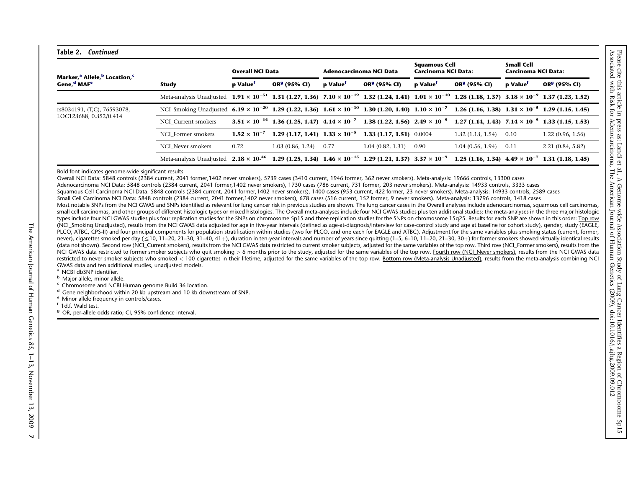<span id="page-6-0"></span>

| Table 2.<br>Continued                                                                                   |                                                                                                                                                                                             |                         |                                                                |                         |                                         |                                                    |                          |                                                 |                                                           |
|---------------------------------------------------------------------------------------------------------|---------------------------------------------------------------------------------------------------------------------------------------------------------------------------------------------|-------------------------|----------------------------------------------------------------|-------------------------|-----------------------------------------|----------------------------------------------------|--------------------------|-------------------------------------------------|-----------------------------------------------------------|
|                                                                                                         |                                                                                                                                                                                             | <b>Overall NCI Data</b> |                                                                | Adenocarcinoma NCI Data |                                         | <b>Squamous Cell</b><br><b>Carcinoma NCI Data:</b> |                          | <b>Small Cell</b><br><b>Carcinoma NCI Data:</b> |                                                           |
| Marker, <sup>a</sup> Allele, <sup>b</sup> Location, <sup>c</sup><br>Gene, <sup>d</sup> MAF <sup>e</sup> | Study                                                                                                                                                                                       | p Value <sup>r</sup>    | OR <sup>9</sup> (95% CI)                                       | p Value <sup>r</sup>    | OR <sup>9</sup> (95% CI)                | <b>p</b> Value <sup>r</sup>                        | OR <sup>9</sup> (95% CI) | p Value <sup>t</sup>                            | OR <sup>9</sup> (95% CI)                                  |
|                                                                                                         | Meta-analysis Unadjusted $1.91 \times 10^{-51}$ 1.31 (1.27, 1.36) 7.10 $\times 10^{-19}$ 1.32 (1.24, 1.41) 1.01 $\times 10^{-10}$ 1.28 (1.18, 1.37) 3.18 $\times 10^{-9}$ 1.37 (1.23, 1.52) |                         |                                                                |                         |                                         |                                                    |                          |                                                 |                                                           |
| rs8034191, (T,C), 76593078,                                                                             | NCI_Smoking Unadjusted 6.19 $\times$ 10 <sup>-20</sup> 1.29 (1.22, 1.36) 1.61 $\times$ 10 <sup>-10</sup> 1.30 (1.20, 1.40) 1.10 $\times$ 10 <sup>-7</sup>                                   |                         |                                                                |                         |                                         |                                                    |                          |                                                 | 1.26 (1.16, 1.38) $1.31 \times 10^{-5}$ 1.29 (1.15, 1.45) |
| LOC123688, 0.352/0.414                                                                                  | NCI Current smokers                                                                                                                                                                         |                         | $3.51 \times 10^{-14}$ 1.36 (1.25, 1.47) $4.14 \times 10^{-7}$ |                         | 1.38 (1.22, 1.56) $2.49 \times 10^{-5}$ |                                                    |                          |                                                 | 1.27 (1.14, 1.43) $7.14 \times 10^{-5}$ 1.33 (1.15, 1.53) |
|                                                                                                         | NCI Former smokers                                                                                                                                                                          | $1.52 \times 10^{-7}$   | 1.29 (1.17, 1.41) $1.33 \times 10^{-5}$                        |                         | 1.33 $(1.17, 1.51)$ 0.0004              |                                                    | 1.32(1.13, 1.54)         | 0.10                                            | 1.22(0.96, 1.56)                                          |
|                                                                                                         | NCI Never smokers                                                                                                                                                                           | 0.72                    | 1.03(0.86, 1.24)                                               | 0.77                    | 1.04(0.82, 1.31)                        | 0.90                                               | 1.04(0.56, 1.94)         | 0.11                                            | 2.21(0.84, 5.82)                                          |
|                                                                                                         | Meta-analysis Unadjusted $2.18 \times 10^{-46}$ 1.29 (1.25, 1.34) 1.46 $\times 10^{-15}$ 1.29 (1.21, 1.37) 3.37 $\times 10^{-9}$                                                            |                         |                                                                |                         |                                         |                                                    |                          |                                                 | 1.25 (1.16, 1.34) $4.49 \times 10^{-7}$ 1.31 (1.18, 1.45) |

Bold font indicates genome-wide significant results

Overall NCI Data: 5848 controls (2384 current, 2041 former,1402 never smokers), 5739 cases (3410 current, 1946 former, 362 never smokers). Meta-analysis: 19666 controls, 13300 cases Adenocarcinoma NCI Data: 5848 controls (2384 current, 2041 former,1402 never smokers), 1730 cases (786 current, 731 former, 203 never smokers). Meta-analysis: 14933 controls, 3333 cases Squamous Cell Carcinoma NCI Data: 5848 controls (2384 current, 2041 former,1402 never smokers), 1400 cases (953 current, 422 former, 23 never smokers). Meta-analysis: 14933 controls, 2589 cases Small Cell Carcinoma NCI Data: 5848 controls (2384 current, 2041 former,1402 never smokers), 678 cases (516 current, 152 former, 9 never smokers). Meta-analysis: 13796 controls, 1418 cases Most notable SNPs from the NCI GWAS and SNPs identified as relevant for lung cancer risk in previous studies are shown. The lung cancer cases in the Overall analyses include adenocarcinomas, squamous cell carcinomas, small cell carcinomas, and other groups of different histologic types or mixed histologies. The Overall meta-analyses include four NCI GWAS studies plus ten additional studies; the meta-analyses in the three major histologic types include four NCI GWAS studies plus four replication studies for the SNPs on chromosome 5p15 and three replication studies for the SNPs on chromosome 15q25. Results for each SNP are shown in this order: Top row (NCI\_Smoking Unadjusted), results from the NCI GWAS data adjusted for age in five-year intervals (defined as age-at-diagnosis/interview for case-control study and age at baseline for cohort study), gender, study (EAGLE, PLCO, ATBC, CPS-II) and four principal components for population stratification within studies (two for PLCO, and one each for EAGLE and ATBC). Adjustment for the same variables plus smoking status (current, former, never), cigarettes smoked per day (≤10, 11–20, 21–30, 31–40, 41+), duration in ten-year intervals and number of years since quitting (1–5, 6–10, 11–20, 21–30, 30+) for former smokers showed virtually identical results (data not shown). Second row (NCI\_Current smokers), results from the NCI GWAS data restricted to current smoker subjects, adjusted for the same variables of the top row. Third row (NCI\_Former smokers), results from the NCI GWAS data restricted to former smoker subjects who quit smoking > 6 months prior to the study, adjusted for the same variables of the top row. Fourth row (NCI\_Never smokers), results from the NCI GWAS data restricted to never smoker subjects who smoked <sup>&</sup>lt; 100 cigarettes in their lifetime, adjusted for the same variables of the top row. Bottom row (Meta-analysis Unadjusted), results from the meta-analysis combining NCI GWAS data and ten additional studies, unadjusted models.

<sup>a</sup> NCBI dbSNP identifier.

**b** Major allele, minor allele.

<sup>c</sup> Chromosome and NCBI Human genome Build 36 location.

<sup>d</sup> Gene neighborhood within 20 kb upstream and 10 kb downstream of SNP.

e Minor allele frequency in controls/cases.

1d.f. Wald test.

<sup>9</sup> OR, per-allele odds ratio; CI, 95% confidence interval.

Please cite this article in press as: Landi et al., A Genome-wide Association Study of Lung Cancer Identifies a Region of Chromosome Sp15<br>Associated with Risk for Adenocarcinoma, The American Journal of Human Genetics (200 Associated with Risk for Adenocarcinoma, The American Journal of Human Genetics (2009), doi:10.1016/j.ajhg.2009.09.012 Please cite this article in press as: Landi et al., A Genome-wide Association Study of Lung Cancer Identifies a Region of Chromosome 5p15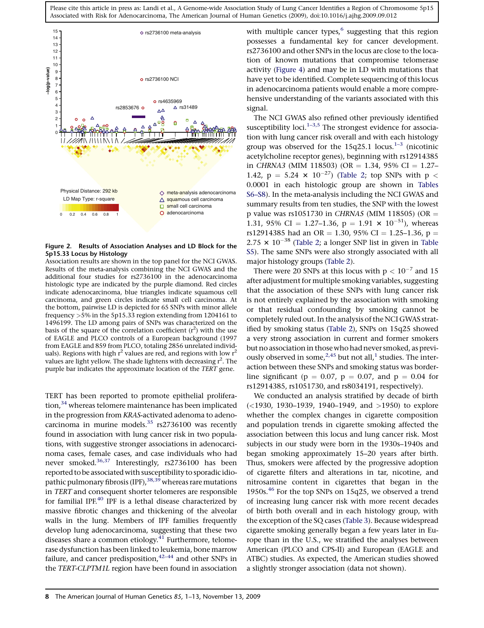<span id="page-7-0"></span>

Figure 2. Results of Association Analyses and LD Block for the 5p15.33 Locus by Histology

Association results are shown in the top panel for the NCI GWAS. Results of the meta-analysis combining the NCI GWAS and the additional four studies for rs2736100 in the adenocarcinoma histologic type are indicated by the purple diamond. Red circles indicate adenocarcinoma, blue triangles indicate squamous cell carcinoma, and green circles indicate small cell carcinoma. At the bottom, pairwise LD is depicted for 65 SNPs with minor allele frequency >5% in the 5p15.33 region extending from 1204161 to 1496199. The LD among pairs of SNPs was characterized on the basis of the square of the correlation coefficient  $(r^2)$  with the use of EAGLE and PLCO controls of a European background (1997 from EAGLE and 859 from PLCO, totaling 2856 unrelated individuals). Regions with high  $r^2$  values are red, and regions with low  $r^2$ values are light yellow. The shade lightens with decreasing  $r^2$ . The purple bar indicates the approximate location of the TERT gene.

TERT has been reported to promote epithelial prolifera-tion,<sup>[34](#page-12-0)</sup> whereas telomere maintenance has been implicated in the progression from KRAS-activated adenoma to adenocarcinoma in murine models. $35$  rs2736100 was recently found in association with lung cancer risk in two populations, with suggestive stronger associations in adenocarcinoma cases, female cases, and case individuals who had never smoked.<sup>36,37</sup> Interestingly, rs2736100 has been reported to be associated with susceptibility to sporadic idiopathic pulmonary fibrosis (IPF),  $38,39$  whereas rare mutations in TERT and consequent shorter telomeres are responsible for familial IPF[.40](#page-12-0) IPF is a lethal disease characterized by massive fibrotic changes and thickening of the alveolar walls in the lung. Members of IPF families frequently develop lung adenocarcinoma, suggesting that these two diseases share a common etiology. $41$  Furthermore, telomerase dysfunction has been linked to leukemia, bone marrow failure, and cancer predisposition,  $42-44$  and other SNPs in the TERT-CLPTM1L region have been found in association

with multiple cancer types, $^6$  suggesting that this region possesses a fundamental key for cancer development. rs2736100 and other SNPs in the locus are close to the location of known mutations that compromise telomerase activity [\(Figure 4](#page-9-0)) and may be in LD with mutations that have yet to be identified. Complete sequencing of this locus in adenocarcinoma patients would enable a more comprehensive understanding of the variants associated with this signal.

The NCI GWAS also refined other previously identified susceptibility loci.<sup>[1–3,5](#page-11-0)</sup> The strongest evidence for association with lung cancer risk overall and with each histology group was observed for the  $15q25.1$  locus.<sup>1-3</sup> (nicotinic acetylcholine receptor genes), beginning with rs12914385 in CHRNA3 (MIM 118503) (OR = 1.34, 95% CI = 1.27– 1.42,  $p = 5.24 \times 10^{-27}$ ) [\(Table 2;](#page-5-0) top SNPs with  $p <$ 0.0001 in each histologic group are shown in Tables S6–S8). In the meta-analysis including the NCI GWAS and summary results from ten studies, the SNP with the lowest p value was rs1051730 in CHRNA5 (MIM 118505) (OR = 1.31, 95% CI = 1.27–1.36,  $p = 1.91 \times 10^{-51}$ ), whereas rs12914385 had an OR = 1.30, 95% CI = 1.25–1.36, p =  $2.75 \times 10^{-38}$  [\(Table 2](#page-5-0); a longer SNP list in given in Table S5). The same SNPs were also strongly associated with all major histology groups ([Table 2\)](#page-5-0).

There were 20 SNPs at this locus with  $p < 10^{-7}$  and 15 after adjustment for multiple smoking variables, suggesting that the association of these SNPs with lung cancer risk is not entirely explained by the association with smoking or that residual confounding by smoking cannot be completely ruled out. In the analysis of the NCI GWAS stratified by smoking status [\(Table 2\)](#page-5-0), SNPs on 15q25 showed a very strong association in current and former smokers but no association in those who had never smoked, as previously observed in some,  $2,45$  but not all,<sup>[1](#page-11-0)</sup> studies. The interaction between these SNPs and smoking status was borderline significant ( $p = 0.07$ ,  $p = 0.07$ , and  $p = 0.04$  for rs12914385, rs1051730, and rs8034191, respectively).

We conducted an analysis stratified by decade of birth  $(<1930, 1930-1939, 1940-1949,$  and  $>1950$ ) to explore whether the complex changes in cigarette composition and population trends in cigarette smoking affected the association between this locus and lung cancer risk. Most subjects in our study were born in the 1930s–1940s and began smoking approximately 15–20 years after birth. Thus, smokers were affected by the progressive adoption of cigarette filters and alterations in tar, nicotine, and nitrosamine content in cigarettes that began in the 1950s.[46](#page-12-0) For the top SNPs on 15q25, we observed a trend of increasing lung cancer risk with more recent decades of birth both overall and in each histology group, with the exception of the SQ cases [\(Table 3\)](#page-10-0). Because widespread cigarette smoking generally began a few years later in Europe than in the U.S., we stratified the analyses between American (PLCO and CPS-II) and European (EAGLE and ATBC) studies. As expected, the American studies showed a slightly stronger association (data not shown).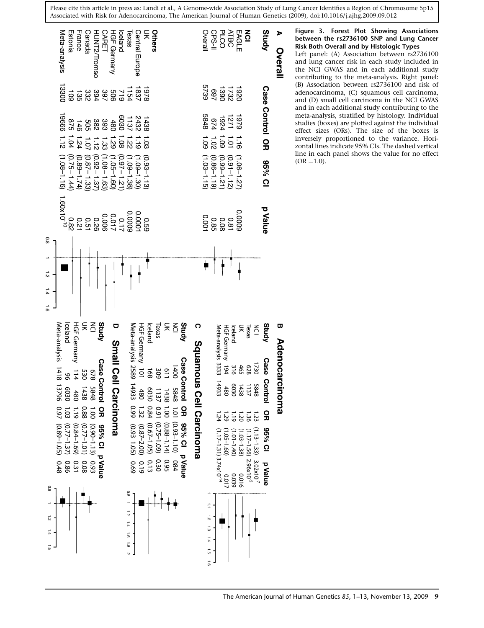<span id="page-8-0"></span>

|                                 | Meta-analysis<br>Estonia<br>France                                                                                                                                                                                                                                                                                  | Canada                                                                                                                                                                                                                                                                          | HUNT2/Tromsc | <b>HGF Germany</b><br>CARET | Texas<br>Iceland | Central Europe | 듲               | Others |  | Overall | <b>CPS-II</b>                                                                                   |  |                 | $\begin{array}{c}\n\mathbf{SC} \\ \mathbf{SC} \\ \mathbf{PCC} \\ \mathbf{PC} \\ \mathbf{PC} \\ \mathbf{PC} \\ \mathbf{PC} \\ \mathbf{PC} \\ \mathbf{PC} \\ \mathbf{PC} \\ \mathbf{PC} \\ \mathbf{PC} \\ \mathbf{PC} \\ \mathbf{PC} \\ \mathbf{PC} \\ \mathbf{PC} \\ \mathbf{PC} \\ \mathbf{PC} \\ \mathbf{PC} \\ \mathbf{PC} \\ \mathbf{PC} \\ \mathbf{PC} \\ \mathbf{PC} \\ \mathbf{PC} \\ \mathbf{PC} \\ \mathbf{PC} \\ \mathbf{PC} \\ \mathbf{PC} \\ \mathbf{PC} \\ \mathbf{PC} \\ \$ | Study                  | <b>Overall</b> |
|---------------------------------|---------------------------------------------------------------------------------------------------------------------------------------------------------------------------------------------------------------------------------------------------------------------------------------------------------------------|---------------------------------------------------------------------------------------------------------------------------------------------------------------------------------------------------------------------------------------------------------------------------------|--------------|-----------------------------|------------------|----------------|-----------------|--------|--|---------|-------------------------------------------------------------------------------------------------|--|-----------------|------------------------------------------------------------------------------------------------------------------------------------------------------------------------------------------------------------------------------------------------------------------------------------------------------------------------------------------------------------------------------------------------------------------------------------------------------------------------------------------|------------------------|----------------|
|                                 | 13300                                                                                                                                                                                                                                                                                                               | $18288888711283888188$                                                                                                                                                                                                                                                          |              |                             |                  |                |                 |        |  |         | 525<br>1890<br>1890<br>1899<br>189                                                              |  |                 |                                                                                                                                                                                                                                                                                                                                                                                                                                                                                          |                        |                |
|                                 | $\begin{array}{l} 247777700 \\ 247700 \\ 247700 \\ -247700 \\ -247700 \\ -247700 \\ -247700 \\ -247700 \\ -247700 \\ -247700 \\ -247700 \\ -247700 \\ -247700 \\ -247700 \\ -247700 \\ -247700 \\ -247700 \\ -247700 \\ -247700 \\ -247700 \\ -247700 \\ -247700 \\ -247700 \\ -247700 \\ -247700 \\ -247700 \\ -2$ |                                                                                                                                                                                                                                                                                 |              |                             |                  |                |                 |        |  |         | 1979<br>1274<br>1924<br>5848                                                                    |  |                 |                                                                                                                                                                                                                                                                                                                                                                                                                                                                                          | <b>Case Control OR</b> |                |
|                                 |                                                                                                                                                                                                                                                                                                                     |                                                                                                                                                                                                                                                                                 |              |                             |                  |                |                 |        |  |         | $-1.1 + 1.1 + 1.1$                                                                              |  |                 |                                                                                                                                                                                                                                                                                                                                                                                                                                                                                          |                        |                |
|                                 | $(0.75 - 1.44)$<br>(1.08-1.16)                                                                                                                                                                                                                                                                                      | $\begin{array}{l} (1.09\hbox{--}1.36)\\ (1.09\hbox{--}1.38)\\ (1.09\hbox{--}1.20)\\ (0.97\hbox{--}1.6)\\ (1.05\hbox{--}1.57)\\ (0.92\hbox{--}1.37)\\ (0.92\hbox{--}1.37)\\ (0.92\hbox{--}1.37)\\ (0.92\hbox{--}1.39)\\ (0.80\hbox{--}1.74)\\ (0.80\hbox{--}1.74)\\ \end{array}$ |              |                             |                  |                | $(0.93 - 1.13)$ |        |  |         | $\begin{array}{c} (0.91 - 1.12) \\ (0.99 - 1.21) \\ (0.86 - 1.19) \\ (1.03 - 1.15) \end{array}$ |  | $(1.06 - 1.27)$ |                                                                                                                                                                                                                                                                                                                                                                                                                                                                                          | 10%96                  |                |
|                                 | $\begin{array}{r} 0.598 \\ 0.0000 \\ 0.0000 \\ 0.017 \\ 0.000 \\ 0.000 \\ 0.017 \\ 0.026 \\ 0.026 \\ 0.027 \\ 0.027 \\ 0.027 \\ 0.028 \\ 0.027 \\ 0.027 \\ 0.027 \\ 0.028 \\ 0.029 \\ 0.029 \\ 0.029 \\ 0.029 \\ 0.020 \\ 0.020 \\ 0.020 \\ 0.020 \\ 0.020 \\ 0.020 \\ 0.020 \\ 0.020 \\ 0.020 \\ $                 |                                                                                                                                                                                                                                                                                 |              |                             |                  |                |                 |        |  |         | 0.0009<br>0.000<br>0.000<br>0.001                                                               |  |                 |                                                                                                                                                                                                                                                                                                                                                                                                                                                                                          | p Value                |                |
| 8.0                             |                                                                                                                                                                                                                                                                                                                     |                                                                                                                                                                                                                                                                                 |              |                             |                  |                |                 |        |  |         |                                                                                                 |  |                 |                                                                                                                                                                                                                                                                                                                                                                                                                                                                                          |                        |                |
| $\vec{c}$                       |                                                                                                                                                                                                                                                                                                                     |                                                                                                                                                                                                                                                                                 |              |                             |                  |                |                 |        |  |         |                                                                                                 |  |                 |                                                                                                                                                                                                                                                                                                                                                                                                                                                                                          |                        |                |
| $\frac{1}{4}$<br>$\overline{5}$ |                                                                                                                                                                                                                                                                                                                     |                                                                                                                                                                                                                                                                                 |              |                             |                  |                |                 |        |  |         |                                                                                                 |  |                 |                                                                                                                                                                                                                                                                                                                                                                                                                                                                                          |                        |                |
|                                 |                                                                                                                                                                                                                                                                                                                     |                                                                                                                                                                                                                                                                                 |              |                             |                  |                |                 |        |  |         |                                                                                                 |  |                 |                                                                                                                                                                                                                                                                                                                                                                                                                                                                                          |                        |                |

### Figure 3. Forest Plot Showing Associations between the rs2736100 SNP and Lung Cancer Risk Both Overall and by Histologic Types

Left panel: (A) Association between rs2736100 and lung cancer risk in each study included in the NCI GWAS and in each additional study contributing to the meta-analysis. Right panel: (B) Association between rs2736100 and risk of adenocarcinoma, (C) squamous cell carcinoma, and (D) small cell carcinoma in the NCI GWAS and in each additional study contributing to the meta-analysis, stratified by histology. Individual studies (boxes) are plotted against the individual effect sizes (ORs). The size of the boxes is inversely proportioned to the variance. Horizontal lines indicate 95% CIs. The dashed vertical line in each panel shows the value for no effect  $(OR = 1.0).$ 

# NCI<br>Texas<br>UK<br>HGF G<br>Meta-<sup>2</sup> **Apnis** Case Control OR 95% Cl 1730 5848

p Value

| <b>Case Control OR</b><br><b>Case Control</b><br>00+1<br>309<br>168<br>119<br>530<br>829<br>8485<br>1438<br>020<br>8485<br>480<br>1137<br>1438<br>요<br>ਸ਼<br>1.32<br>0.84<br>0.91<br>88.0<br>$\overline{001}$<br>101<br>$\overline{5}$<br>10 % 96<br>$(0.93 - 1.10)$<br>$(0.75 - 1.09)$<br>$(0.88 - 1.14)$<br>10%96<br>$(0.67 - 1.05)$<br>$(0.93 - 1.05)$<br>$(0.87 - 2.00)$<br>$(0.90 - 1.13)$<br>p Value<br>p Value<br>560<br>0.30<br>690<br>80.0<br>0.13<br><b>084</b><br>0.19<br><b>0.93</b><br>$\overline{80}$ | HGF Germany 101<br>Meta-analysis 2589 14933 0.99<br><b>Small Cell Carcinoma</b><br><b>Squamous Cell Carcinoma</b> | $\vec{z}$ | 0.48<br>0.86<br>0.31<br>8.0 | $0.97$ $(0.89 - 1.05)$<br>$(0.77 - 1.37)$<br>$(0.84 - 1.69)$ | 1.03<br>611 | 0209 96<br>480 | 114  | Meta-analysis 1418 13796<br>Iceland<br><b>HGF Germany</b> |
|---------------------------------------------------------------------------------------------------------------------------------------------------------------------------------------------------------------------------------------------------------------------------------------------------------------------------------------------------------------------------------------------------------------------------------------------------------------------------------------------------------------------|-------------------------------------------------------------------------------------------------------------------|-----------|-----------------------------|--------------------------------------------------------------|-------------|----------------|------|-----------------------------------------------------------|
|                                                                                                                                                                                                                                                                                                                                                                                                                                                                                                                     |                                                                                                                   |           |                             | $(0.77 - 1.01)$                                              |             |                |      |                                                           |
|                                                                                                                                                                                                                                                                                                                                                                                                                                                                                                                     |                                                                                                                   |           |                             |                                                              |             |                |      |                                                           |
|                                                                                                                                                                                                                                                                                                                                                                                                                                                                                                                     |                                                                                                                   |           |                             |                                                              |             |                |      |                                                           |
|                                                                                                                                                                                                                                                                                                                                                                                                                                                                                                                     |                                                                                                                   |           |                             |                                                              |             |                |      |                                                           |
|                                                                                                                                                                                                                                                                                                                                                                                                                                                                                                                     |                                                                                                                   |           |                             |                                                              |             |                |      |                                                           |
|                                                                                                                                                                                                                                                                                                                                                                                                                                                                                                                     |                                                                                                                   |           |                             |                                                              |             |                |      |                                                           |
|                                                                                                                                                                                                                                                                                                                                                                                                                                                                                                                     |                                                                                                                   |           |                             |                                                              |             |                |      |                                                           |
|                                                                                                                                                                                                                                                                                                                                                                                                                                                                                                                     |                                                                                                                   |           |                             |                                                              | 1.24        |                |      |                                                           |
| 14933<br>$(1.17 - 1.31)$ 3.74x10 <sup>-14</sup>                                                                                                                                                                                                                                                                                                                                                                                                                                                                     | Meta-analysis 3333                                                                                                |           | 710.0                       |                                                              |             | 480            |      |                                                           |
| $(1.05 - 1.60)$                                                                                                                                                                                                                                                                                                                                                                                                                                                                                                     |                                                                                                                   |           |                             |                                                              |             |                |      |                                                           |
| 316<br>6030<br>$(0.01 - 1.40)$<br>0.039                                                                                                                                                                                                                                                                                                                                                                                                                                                                             | HGF Germany 194                                                                                                   |           |                             |                                                              |             |                |      |                                                           |
| 465<br>1438<br>$(1.03 - 1.38)$<br>9100                                                                                                                                                                                                                                                                                                                                                                                                                                                                              |                                                                                                                   |           |                             |                                                              |             |                |      |                                                           |
| 628<br>1137<br>13<br>25<br>29<br>29<br>$(1.17 - 1.56)$ 2.96x10 <sup>-5</sup>                                                                                                                                                                                                                                                                                                                                                                                                                                        |                                                                                                                   |           |                             | $(1.13-1.33)$ 3.02x10 <sup>-7</sup>                          | 123         | 5848           | 1730 |                                                           |

# **Adenocarcinoma**

 $\mathbf{\overline{a}}$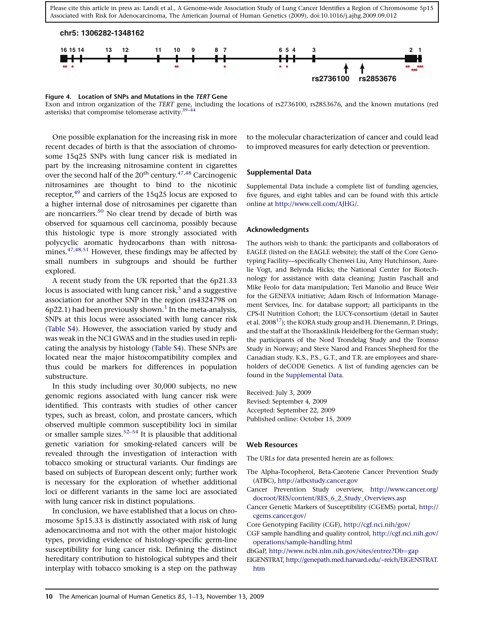<span id="page-9-0"></span>

Figure 4. Location of SNPs and Mutations in the TERT Gene Exon and intron organization of the TERT gene, including the locations of rs2736100, rs2853676, and the known mutations (red asterisks) that compromise telomerase activity.[39–44](#page-12-0)

One possible explanation for the increasing risk in more recent decades of birth is that the association of chromosome 15q25 SNPs with lung cancer risk is mediated in part by the increasing nitrosamine content in cigarettes over the second half of the  $20<sup>th</sup>$  century.<sup>[47,48](#page-12-0)</sup> Carcinogenic nitrosamines are thought to bind to the nicotinic receptor,<sup>[49](#page-12-0)</sup> and carriers of the 15q25 locus are exposed to a higher internal dose of nitrosamines per cigarette than are noncarriers.<sup>[50](#page-12-0)</sup> No clear trend by decade of birth was observed for squamous cell carcinoma, possibly because this histologic type is more strongly associated with polycyclic aromatic hydrocarbons than with nitrosa-mines.<sup>[47,48,51](#page-12-0)</sup> However, these findings may be affected by small numbers in subgroups and should be further explored.

A recent study from the UK reported that the 6p21.33 locus is associated with lung cancer risk, $5$  and a suggestive association for another SNP in the region (rs4324798 on 6p22.[1](#page-11-0)) had been previously shown.<sup>1</sup> In the meta-analysis, SNPs at this locus were associated with lung cancer risk (Table S4). However, the association varied by study and was weak in the NCI GWAS and in the studies used in replicating the analysis by histology (Table S4). These SNPs are located near the major histocompatibility complex and thus could be markers for differences in population substructure.

In this study including over 30,000 subjects, no new genomic regions associated with lung cancer risk were identified. This contrasts with studies of other cancer types, such as breast, colon, and prostate cancers, which observed multiple common susceptibility loci in similar or smaller sample sizes. $52-54$  It is plausible that additional genetic variation for smoking-related cancers will be revealed through the investigation of interaction with tobacco smoking or structural variants. Our findings are based on subjects of European descent only; further work is necessary for the exploration of whether additional loci or different variants in the same loci are associated with lung cancer risk in distinct populations.

In conclusion, we have established that a locus on chromosome 5p15.33 is distinctly associated with risk of lung adenocarcinoma and not with the other major histologic types, providing evidence of histology-specific germ-line susceptibility for lung cancer risk. Defining the distinct hereditary contribution to histological subtypes and their interplay with tobacco smoking is a step on the pathway

to the molecular characterization of cancer and could lead to improved measures for early detection or prevention.

### Supplemental Data

Supplemental Data include a complete list of funding agencies, five figures, and eight tables and can be found with this article online at <http://www.cell.com/AJHG/>.

### Acknowledgments

The authors wish to thank: the participants and collaborators of EAGLE (listed on the EAGLE website); the staff of the Core Genotyping Facility—specifically Chenwei Liu, Amy Hutchinson, Aurelie Vogt, and Belynda Hicks; the National Center for Biotechnology for assistance with data cleaning; Justin Paschall and Mike Feolo for data manipulation; Teri Manolio and Bruce Weir for the GENEVA initiative; Adam Risch of Information Management Services, Inc. for database support; all participants in the CPS-II Nutrition Cohort; the LUCY-consortium (detail in Sauter et al.  $2008^{17}$ ); the KORA study group and H. Dienemann, P. Drings, and the staff at the Thoraxklinik Heidelberg for the German study; the participants of the Nord Trondelag Study and the Tromso Study in Norway; and Steve Narod and Frances Shepherd for the Canadian study. K.S., P.S., G.T., and T.R. are employees and shareholders of deCODE Genetics. A list of funding agencies can be found in the Supplemental Data.

Received: July 3, 2009 Revised: September 4, 2009 Accepted: September 22, 2009 Published online: October 15, 2009

#### Web Resources

The URLs for data presented herein are as follows:

- The Alpha-Tocopherol, Beta-Carotene Cancer Prevention Study (ATBC), <http://atbcstudy.cancer.gov>
- Cancer Prevention Study overview, [http://www.cancer.org/](http://www.cancer.org/docroot/RES/content/RES_6_2_Study_Overviews.asp) [docroot/RES/content/RES\\_6\\_2\\_Study\\_Overviews.asp](http://www.cancer.org/docroot/RES/content/RES_6_2_Study_Overviews.asp)
- Cancer Genetic Markers of Susceptibility (CGEMS) portal, [http://](http://cgems.cancer.gov/) [cgems.cancer.gov/](http://cgems.cancer.gov/)
- Core Genotyping Facility (CGF), <http://cgf.nci.nih/gov/>
- CGF sample handling and quality control, [http://cgf.nci.nih.gov/](http://cgf.nci.nih.gov/operations/sample-handling.html) [operations/sample-handling.html](http://cgf.nci.nih.gov/operations/sample-handling.html)
- dbGaP, [http://www.ncbi.nlm.nih.gov/sites/entrez?Db](http://www.ncbi.nlm.nih.gov/sites/entrez?Db=gap)=[gap](http://www.ncbi.nlm.nih.gov/sites/entrez?Db=gap)
- EIGENSTRAT, [http://genepath.med.harvard.edu/~reich/EIGENSTRAT.](http://genepath.med.harvard.edu/~reich/EIGENSTRAT.htm) [htm](http://genepath.med.harvard.edu/~reich/EIGENSTRAT.htm)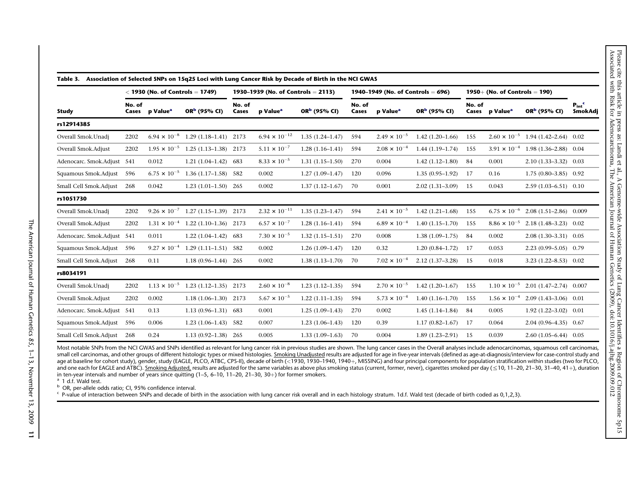<span id="page-10-0"></span>

|                            |                 | $<$ 1930 (No. of Controls = 1749) |                                             | 1930–1939 (No. of Controls = 2113) |                                |                          |                 | 1940–1949 (No. of Controls = 696) |                          | $1950+$ (No. of Controls = 190) |                            |                                              |                                    |
|----------------------------|-----------------|-----------------------------------|---------------------------------------------|------------------------------------|--------------------------------|--------------------------|-----------------|-----------------------------------|--------------------------|---------------------------------|----------------------------|----------------------------------------------|------------------------------------|
| <b>Study</b>               | No. of<br>Cases | p Value <sup>a</sup>              | OR <sup>b</sup> (95% CI)                    | No. of<br>Cases                    | p Value <sup>a</sup>           | OR <sup>b</sup> (95% CI) | No. of<br>Cases | p Value <sup>a</sup>              | OR <sup>b</sup> (95% CI) | No. of                          | Cases p Value <sup>a</sup> | OR <sup>b</sup> (95% CI)                     | $P_{int}^{\phantom{1}}$<br>SmokAdj |
| rs12914385                 |                 |                                   |                                             |                                    |                                |                          |                 |                                   |                          |                                 |                            |                                              |                                    |
| Overall Smok.Unadj         | 2202            | $6.94 \times 10^{-8}$             | $1.29(1.18-1.41)$ 2173                      |                                    | $6.94 \times 10^{-12}$         | $1.35(1.24 - 1.47)$      | 594             | $2.49 \times 10^{-5}$             | $1.42(1.20-1.66)$        | 155                             |                            | $2.60 \times 10^{-5}$ 1.94 (1.42–2.64) 0.02  |                                    |
| Overall Smok.Adjust        | 2202            |                                   | $1.95 \times 10^{-5}$ 1.25 (1.13-1.38) 2173 |                                    | $5.11 \times 10^{-7}$          | $1.28(1.16-1.41)$        | 594             | $2.08 \times 10^{-4}$             | $1.44(1.19-1.74)$        | 155                             |                            | $3.91 \times 10^{-4}$ 1.98 (1.36-2.88) 0.04  |                                    |
| Adenocarc. Smok.Adjust 541 |                 | 0.012                             | $1.21(1.04-1.42)$ 683                       |                                    | 8.33 $\times$ 10 <sup>-5</sup> | $1.31(1.15-1.50)$        | 270             | 0.004                             | $1.42(1.12 - 1.80)$      | 84                              | 0.001                      | $2.10(1.33-3.32)$ 0.03                       |                                    |
| Squamous Smok.Adjust       | 596             | $6.75 \times 10^{-5}$             | $1.36(1.17-1.58)$ 582                       |                                    | 0.002                          | $1.27(1.09-1.47)$        | 120             | 0.096                             | $1.35(0.95-1.92)$        | 17                              | 0.16                       | $1.75(0.80-3.85)$ 0.92                       |                                    |
| Small Cell Smok.Adjust     | 268             | 0.042                             | $1.23(1.01-1.50)$ 265                       |                                    | 0.002                          | $1.37(1.12 - 1.67)$      | 70              | 0.001                             | $2.02(1.31-3.09)$        | -15                             | 0.043                      | $2.59(1.03 - 6.51)$ 0.10                     |                                    |
| rs1051730                  |                 |                                   |                                             |                                    |                                |                          |                 |                                   |                          |                                 |                            |                                              |                                    |
| Overall Smok.Unadj         | 2202            |                                   | $9.26 \times 10^{-7}$ 1.27 (1.15-1.39) 2173 |                                    | $2.32 \times 10^{-11}$         | $1.35(1.23 - 1.47)$      | 594             | $2.41 \times 10^{-5}$             | $1.42(1.21-1.68)$        | 155                             |                            | $6.75 \times 10^{-6}$ 2.08 (1.51-2.86) 0.009 |                                    |
| Overall Smok.Adjust        | 2202            |                                   | $1.31 \times 10^{-4}$ 1.22 (1.10-1.36) 2173 |                                    | $6.57 \times 10^{-7}$          | $1.28(1.16-1.41)$        | 594             | $6.89 \times 10^{-4}$             | $1.40(1.15-1.70)$        | 155                             | $8.86 \times 10^{-5}$      | $2.18(1.48-3.23)$ 0.02                       |                                    |
| Adenocarc. Smok.Adjust 541 |                 | 0.011                             | $1.22(1.04-1.42)$ 683                       |                                    | 7.30 $\times$ 10 <sup>-5</sup> | $1.32(1.15 - 1.51)$      | 270             | 0.008                             | $1.38(1.09-1.75)$        | 84                              | 0.002                      | 2.08 (1.30-3.31) 0.05                        |                                    |
| Squamous Smok.Adjust       | 596             | $9.27 \times 10^{-4}$             | $1.29(1.11-1.51)$ 582                       |                                    | 0.002                          | $1.26(1.09-1.47)$        | 120             | 0.32                              | $1.20(0.84-1.72)$        | 17                              | 0.053                      | 2.23 (0.99-5.05) 0.79                        |                                    |
| Small Cell Smok.Adjust     | 268             | 0.11                              | $1.18(0.96 - 1.44)$ 265                     |                                    | 0.002                          | $1.38(1.13 - 1.70)$      | 70              | $7.02 \times 10^{-4}$             | $2.12(1.37-3.28)$        | -15                             | 0.018                      | $3.23(1.22 - 8.53)$ 0.02                     |                                    |
| rs8034191                  |                 |                                   |                                             |                                    |                                |                          |                 |                                   |                          |                                 |                            |                                              |                                    |
| Overall Smok.Unadj         | 2202            |                                   | $1.13 \times 10^{-5}$ 1.23 (1.12-1.35) 2173 |                                    | $2.60 \times 10^{-8}$          | $1.23(1.12 - 1.35)$      | 594             | $2.70 \times 10^{-5}$             | $1.42(1.20-1.67)$        | 155                             |                            | $1.10 \times 10^{-5}$ 2.01 (1.47-2.74) 0.007 |                                    |
| Overall Smok.Adjust        | 2202            | 0.002                             | $1.18(1.06-1.30)$ 2173                      |                                    | $5.67 \times 10^{-5}$          | $1.22(1.11 - 1.35)$      | 594             | $5.73 \times 10^{-4}$             | $1.40(1.16 - 1.70)$      | 155                             | $1.56 \times 10^{-4}$      | $2.09(1.43-3.06)$ 0.01                       |                                    |
| Adenocarc. Smok.Adjust 541 |                 | 0.13                              | $1.13(0.96-1.31)$ 683                       |                                    | 0.001                          | $1.25(1.09-1.43)$        | 270             | 0.002                             | $1.45(1.14-1.84)$        | 84                              | 0.005                      | $1.92(1.22 - 3.02)$ 0.01                     |                                    |
| Squamous Smok.Adjust       | 596             | 0.006                             | $1.23(1.06-1.43)$ 582                       |                                    | 0.007                          | $1.23(1.06-1.43)$        | 120             | 0.39                              | $1.17(0.82 - 1.67)$      | 17                              | 0.064                      | $2.04(0.96-4.35)$ 0.67                       |                                    |
| Small Cell Smok.Adjust     | 268             | 0.24                              | $1.13(0.92 - 1.38)$ 265                     |                                    | 0.005                          | $1.33(1.09-1.63)$        | 70              | 0.004                             | $1.89(1.23 - 2.91)$      | 15                              | 0.039                      | $2.60(1.05-6.44)$ 0.05                       |                                    |

Most notable SNPs from the NCI GWAS and SNPs identified as relevant for lung cancer risk in previous studies are shown. The lung cancer cases in the Overall analyses include adenocarcinomas, squamous cell carcinomas, small cell carcinomas, and other groups of different histologic types or mixed histologies. Smoking Unadjusted results are adjusted for age in five-year intervals (defined as age-at-diagnosis/interview for case-control stu age at baseline for cohort study), gender, study (EAGLE, PLCO, ATBC, CPS-II), decade of birth (<1930, 1930–1940, 1940+, MISSING) and four principal components for population stratification within studies (two for PLCO, and one each for EAGLE and ATBC). <u>Smoking Adjusted,</u> results are adjusted for the same variables as above plus smoking status (current, former, never), cigarettes smoked per day (≤10, 11–20, 21–30, 31–40, 41+), duration in ten-year intervals and number of years since quitting (1–5, 6–10, 11–20, 21–30, 30 þ) for former smokers.

<sup>a</sup> 1 d.f. Wald test.

<sup>b</sup> OR, per-allele odds ratio; CI, 95% confidence interval.

 $^{\mathsf{c}}$  P-value of interaction between SNPs and decade of birth in the association with lung cancer risk overall and in each histology stratum. 1d.f. Wald test (decade of birth coded as 0,1,2,3).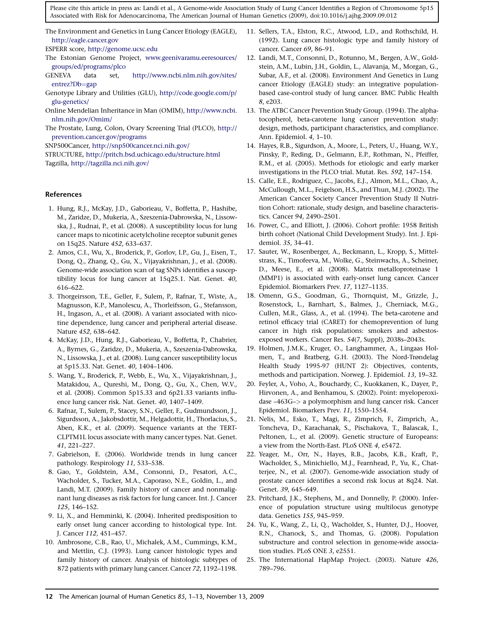<span id="page-11-0"></span>The Environment and Genetics in Lung Cancer Etiology (EAGLE), <http://eagle.cancer.gov>

ESPERR score, <http://genome.ucsc.edu>

- The Estonian Genome Project, [www.geenivaramu.eeresources/](http://www.geenivaramu.eeresources/groups/ed/programs/plco) [groups/ed/programs/plco](http://www.geenivaramu.eeresources/groups/ed/programs/plco)
- GENEVA data set, [http://www.ncbi.nlm.nih.gov/sites/](http://www.ncbi.nlm.nih.gov/sites/entrez?Db=gap) [entrez?Db](http://www.ncbi.nlm.nih.gov/sites/entrez?Db=gap)=[gap](http://www.ncbi.nlm.nih.gov/sites/entrez?Db=gap)
- Genotype Library and Utilities (GLU), [http://code.google.com/p/](http://code.google.com/p/glu-genetics/) [glu-genetics/](http://code.google.com/p/glu-genetics/)
- Online Mendelian Inheritance in Man (OMIM), [http://www.ncbi.](http://www.ncbi.nlm.nih.gov/Omim/) [nlm.nih.gov/Omim/](http://www.ncbi.nlm.nih.gov/Omim/)
- The Prostate, Lung, Colon, Ovary Screening Trial (PLCO), [http://](http://prevention.cancer.gov/programs) [prevention.cancer.gov/programs](http://prevention.cancer.gov/programs)

SNP500Cancer, <http://snp500cancer.nci.nih.gov/>

STRUCTURE, <http://pritch.bsd.uchicago.edu/structure.html>

Tagzilla, <http://tagzilla.nci.nih.gov/>

### References

- 1. Hung, R.J., McKay, J.D., Gaborieau, V., Boffetta, P., Hashibe, M., Zaridze, D., Mukeria, A., Szeszenia-Dabrowska, N., Lissowska, J., Rudnai, P., et al. (2008). A susceptibility locus for lung cancer maps to nicotinic acetylcholine receptor subunit genes on 15q25. Nature 452, 633–637.
- 2. Amos, C.I., Wu, X., Broderick, P., Gorlov, I.P., Gu, J., Eisen, T., Dong, Q., Zhang, Q., Gu, X., Vijayakrishnan, J., et al. (2008). Genome-wide association scan of tag SNPs identifies a susceptibility locus for lung cancer at 15q25.1. Nat. Genet. 40, 616–622.
- 3. Thorgeirsson, T.E., Geller, F., Sulem, P., Rafnar, T., Wiste, A., Magnusson, K.P., Manolescu, A., Thorleifsson, G., Stefansson, H., Ingason, A., et al. (2008). A variant associated with nicotine dependence, lung cancer and peripheral arterial disease. Nature 452, 638–642.
- 4. McKay, J.D., Hung, R.J., Gaborieau, V., Boffetta, P., Chabrier, A., Byrnes, G., Zaridze, D., Mukeria, A., Szeszenia-Dabrowska, N., Lissowska, J., et al. (2008). Lung cancer susceptibility locus at 5p15.33. Nat. Genet. 40, 1404–1406.
- 5. Wang, Y., Broderick, P., Webb, E., Wu, X., Vijayakrishnan, J., Matakidou, A., Qureshi, M., Dong, Q., Gu, X., Chen, W.V., et al. (2008). Common 5p15.33 and 6p21.33 variants influence lung cancer risk. Nat. Genet. 40, 1407–1409.
- 6. Rafnar, T., Sulem, P., Stacey, S.N., Geller, F., Gudmundsson, J., Sigurdsson, A., Jakobsdottir, M., Helgadottir, H., Thorlacius, S., Aben, K.K., et al. (2009). Sequence variants at the TERT-CLPTM1L locus associate with many cancer types. Nat. Genet. 41, 221–227.
- 7. Gabrielson, E. (2006). Worldwide trends in lung cancer pathology. Respirology 11, 533–538.
- 8. Gao, Y., Goldstein, A.M., Consonni, D., Pesatori, A.C., Wacholder, S., Tucker, M.A., Caporaso, N.E., Goldin, L., and Landi, M.T. (2009). Family history of cancer and nonmalignant lung diseases as risk factors for lung cancer. Int. J. Cancer 125, 146–152.
- 9. Li, X., and Hemminki, K. (2004). Inherited predisposition to early onset lung cancer according to histological type. Int. J. Cancer 112, 451–457.
- 10. Ambrosone, C.B., Rao, U., Michalek, A.M., Cummings, K.M., and Mettlin, C.J. (1993). Lung cancer histologic types and family history of cancer. Analysis of histologic subtypes of 872 patients with primary lung cancer. Cancer 72, 1192–1198.
- 11. Sellers, T.A., Elston, R.C., Atwood, L.D., and Rothschild, H. (1992). Lung cancer histologic type and family history of cancer. Cancer 69, 86–91.
- 12. Landi, M.T., Consonni, D., Rotunno, M., Bergen, A.W., Goldstein, A.M., Lubin, J.H., Goldin, L., Alavanja, M., Morgan, G., Subar, A.F., et al. (2008). Environment And Genetics in Lung cancer Etiology (EAGLE) study: an integrative populationbased case-control study of lung cancer. BMC Public Health 8, e203.
- 13. The ATBC Cancer Prevention Study Group. (1994). The alphatocopherol, beta-carotene lung cancer prevention study: design, methods, participant characteristics, and compliance. Ann. Epidemiol. 4, 1–10.
- 14. Hayes, R.B., Sigurdson, A., Moore, L., Peters, U., Huang, W.Y., Pinsky, P., Reding, D., Gelmann, E.P., Rothman, N., Pfeiffer, R.M., et al. (2005). Methods for etiologic and early marker investigations in the PLCO trial. Mutat. Res. 592, 147–154.
- 15. Calle, E.E., Rodriguez, C., Jacobs, E.J., Almon, M.L., Chao, A., McCullough, M.L., Feigelson, H.S., and Thun, M.J. (2002). The American Cancer Society Cancer Prevention Study II Nutrition Cohort: rationale, study design, and baseline characteristics. Cancer 94, 2490–2501.
- 16. Power, C., and Elliott, J. (2006). Cohort profile: 1958 British birth cohort (National Child Development Study). Int. J. Epidemiol. 35, 34–41.
- 17. Sauter, W., Rosenberger, A., Beckmann, L., Kropp, S., Mittelstrass, K., Timofeeva, M., Wolke, G., Steinwachs, A., Scheiner, D., Meese, E., et al. (2008). Matrix metalloproteinase 1 (MMP1) is associated with early-onset lung cancer. Cancer Epidemiol. Biomarkers Prev. 17, 1127–1135.
- 18. Omenn, G.S., Goodman, G., Thornquist, M., Grizzle, J., Rosenstock, L., Barnhart, S., Balmes, J., Cherniack, M.G., Cullen, M.R., Glass, A., et al. (1994). The beta-carotene and retinol efficacy trial (CARET) for chemoprevention of lung cancer in high risk populations: smokers and asbestosexposed workers. Cancer Res. 54(7, Suppl), 2038s–2043s.
- 19. Holmen, J.M.K., Kruger, O., Langhammer, A., Lingaas Holmen, T., and Bratberg, G.H. (2003). The Nord-Trøndelag Health Study 1995-97 (HUNT 2): Objectives, contents, methods and participation. Norweg. J. Epidemiol. 13, 19–32.
- 20. Feyler, A., Voho, A., Bouchardy, C., Kuokkanen, K., Dayer, P., Hirvonen, A., and Benhamou, S. (2002). Point: myeloperoxidase –463G–> a polymorphism and lung cancer risk. Cancer Epidemiol. Biomarkers Prev. 11, 1550–1554.
- 21. Nelis, M., Esko, T., Magi, R., Zimprich, F., Zimprich, A., Toncheva, D., Karachanak, S., Pischakova, T., Balascak, I., Peltonen, L., et al. (2009). Genetic structure of Europeans: a view from the North-East. PLoS ONE 4, e5472.
- 22. Yeager, M., Orr, N., Hayes, R.B., Jacobs, K.B., Kraft, P., Wacholder, S., Minichiello, M.J., Fearnhead, P., Yu, K., Chatterjee, N., et al. (2007). Genome-wide association study of prostate cancer identifies a second risk locus at 8q24. Nat. Genet. 39, 645–649.
- 23. Pritchard, J.K., Stephens, M., and Donnelly, P. (2000). Inference of population structure using multilocus genotype data. Genetics 155, 945–959.
- 24. Yu, K., Wang, Z., Li, Q., Wacholder, S., Hunter, D.J., Hoover, R.N., Chanock, S., and Thomas, G. (2008). Population substructure and control selection in genome-wide association studies. PLoS ONE 3, e2551.
- 25. The International HapMap Project. (2003). Nature 426, 789–796.